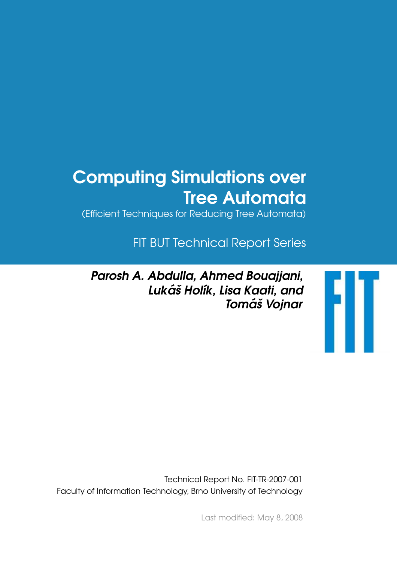# Computing Simulations over **Tree Automata**

(Efficient Techniques for Reducing Tree Automata)

FIT BUT Technical Report Series

Parosh A. Abdulla, Ahmed Bouajjani, Lukáš Holík, Lisa Kaati, and Tomáš Vojnar

F

Technical Report No. FIT-TR-2007-001 Faculty of Information Technology, Brno University of Technology

Last modified: May 8, 2008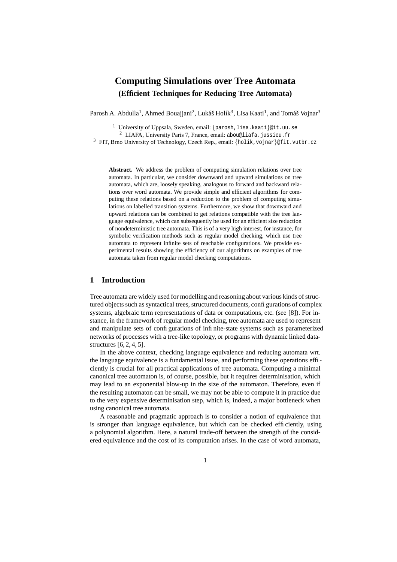# **Computing Simulations over Tree Automata (Efficient Techniques for Reducing Tree Automata)**

Parosh A. Abdulla<sup>1</sup>, Ahmed Bouajjani<sup>2</sup>, Lukáš Holík<sup>3</sup>, Lisa Kaati<sup>1</sup>, and Tomáš Vojnar<sup>3</sup>

University of Uppsala, Sweden, email: {parosh, lisa.kaati}@it.uu.se

<sup>2</sup> LIAFA, University Paris 7, France, email: abou@liafa.jussieu.fr

<sup>3</sup> FIT, Brno University of Technology, Czech Rep., email: {holik, vojnar}@fit.vutbr.cz

**Abstract.** We address the problem of computing simulation relations over tree automata. In particular, we consider downward and upward simulations on tree automata, which are, loosely speaking, analogous to forward and backward relations over word automata. We provide simple and efficient algorithms for computing these relations based on a reduction to the problem of computing simulations on labelled transition systems. Furthermore, we show that downward and upward relations can be combined to get relations compatible with the tree language equivalence, which can subsequently be used for an efficient size reduction of nondeterministic tree automata. This is of a very high interest, for instance, for symbolic verification methods such as regular model checking, which use tree automata to represent infinite sets of reachable configurations. We provide experimental results showing the efficiency of our algorithms on examples of tree automata taken from regular model checking computations.

# **1 Introduction**

Tree automata are widely used for modelling and reasoning about various kinds of structured objects such as syntactical trees, structured documents, configurations of complex systems, algebraic term representations of data or computations, etc. (see [8]). For instance, in the framework of regular model checking, tree automata are used to represent and manipulate sets of configurations of infinite-state systems such as parameterized networks of processes with a tree-like topology, or programs with dynamic linked datastructures [6, 2, 4, 5].

In the above context, checking language equivalence and reducing automata wrt. the language equivalence is a fundamental issue, and performing these operations efficiently is crucial for all practical applications of tree automata. Computing a minimal canonical tree automaton is, of course, possible, but it requires determinisation, which may lead to an exponential blow-up in the size of the automaton. Therefore, even if the resulting automaton can be small, we may not be able to compute it in practice due to the very expensive determinisation step, which is, indeed, a major bottleneck when using canonical tree automata.

A reasonable and pragmatic approach is to consider a notion of equivalence that is stronger than language equivalence, but which can be checked efficiently, using a polynomial algorithm. Here, a natural trade-off between the strength of the considered equivalence and the cost of its computation arises. In the case of word automata,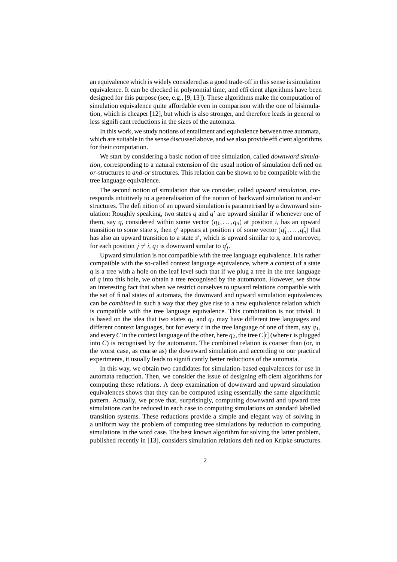an equivalence which is widely considered as a good trade-off in this sense is simulation equivalence. It can be checked in polynomial time, and efficient algorithms have been designed for this purpose (see, e.g., [9, 13]). These algorithms make the computation of simulation equivalence quite affordable even in comparison with the one of bisimulation, which is cheaper [12], but which is also stronger, and therefore leads in general to less significant reductions in the sizes of the automata.

In this work, we study notions of entailment and equivalence between tree automata, which are suitable in the sense discussed above, and we also provide efficient algorithms for their computation.

We start by considering a basic notion of tree simulation, called *downward simulation*, corresponding to a natural extension of the usual notion of simulation defined on *or*-structures to *and-or* structures. This relation can be shown to be compatible with the tree language equivalence.

The second notion of simulation that we consider, called *upward simulation*, corresponds intuitively to a generalisation of the notion of backward simulation to and-or structures. The definition of an upward simulation is parametrised by a downward simulation: Roughly speaking, two states  $q$  and  $q'$  are upward similar if whenever one of them, say *q*, considered within some vector  $(q_1, \ldots, q_n)$  at position *i*, has an upward transition to some state *s*, then *q*<sup> $\prime$ </sup> appears at position *i* of some vector  $(q'_1, \ldots, q'_n)$  that has also an upward transition to a state s', which is upward similar to s, and moreover, for each position  $j \neq i$ ,  $q_j$  is downward similar to  $q'_j$ .

Upward simulation is not compatible with the tree language equivalence. It is rather compatible with the so-called context language equivalence, where a context of a state *q* is a tree with a hole on the leaf level such that if we plug a tree in the tree language of *q* into this hole, we obtain a tree recognised by the automaton. However, we show an interesting fact that when we restrict ourselves to upward relations compatible with the set of final states of automata, the downward and upward simulation equivalences can be *combined* in such a way that they give rise to a new equivalence relation which is compatible with the tree language equivalence. This combination is not trivial. It is based on the idea that two states  $q_1$  and  $q_2$  may have different tree languages and different context languages, but for every *t* in the tree language of one of them, say *q*1, and every C in the context language of the other, here  $q_2$ , the tree  $C[t]$  (where *t* is plugged into *C*) is recognised by the automaton. The combined relation is coarser than (or, in the worst case, as coarse as) the downward simulation and according to our practical experiments, it usually leads to significantly better reductions of the automata.

In this way, we obtain two candidates for simulation-based equivalences for use in automata reduction. Then, we consider the issue of designing efficient algorithms for computing these relations. A deep examination of downward and upward simulation equivalences shows that they can be computed using essentially the same algorithmic pattern. Actually, we prove that, surprisingly, computing downward and upward tree simulations can be reduced in each case to computing simulations on standard labelled transition systems. These reductions provide a simple and elegant way of solving in a uniform way the problem of computing tree simulations by reduction to computing simulations in the word case. The best known algorithm for solving the latter problem, published recently in [13], considers simulation relations defined on Kripke structures.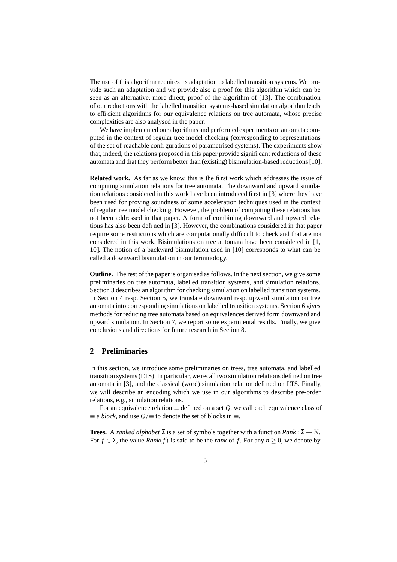The use of this algorithm requires its adaptation to labelled transition systems. We provide such an adaptation and we provide also a proof for this algorithm which can be seen as an alternative, more direct, proof of the algorithm of [13]. The combination of our reductions with the labelled transition systems-based simulation algorithm leads to efficient algorithms for our equivalence relations on tree automata, whose precise complexities are also analysed in the paper.

We have implemented our algorithms and performed experiments on automata computed in the context of regular tree model checking (corresponding to representations of the set of reachable configurations of parametrised systems). The experiments show that, indeed, the relations proposed in this paper provide significant reductions of these automata and that they perform better than (existing) bisimulation-based reductions[10].

**Related work.** As far as we know, this is the first work which addresses the issue of computing simulation relations for tree automata. The downward and upward simulation relations considered in this work have been introduced first in [3] where they have been used for proving soundness of some acceleration techniques used in the context of regular tree model checking. However, the problem of computing these relations has not been addressed in that paper. A form of combining downward and upward relations has also been defined in [3]. However, the combinations considered in that paper require some restrictions which are computationally difficult to check and that are not considered in this work. Bisimulations on tree automata have been considered in [1, 10]. The notion of a backward bisimulation used in [10] corresponds to what can be called a downward bisimulation in our terminology.

**Outline.** The rest of the paper is organised as follows. In the next section, we give some preliminaries on tree automata, labelled transition systems, and simulation relations. Section 3 describes an algorithm for checking simulation on labelled transition systems. In Section 4 resp. Section 5, we translate downward resp. upward simulation on tree automata into corresponding simulations on labelled transition systems. Section 6 gives methods for reducing tree automata based on equivalences derived form downward and upward simulation. In Section 7, we report some experimental results. Finally, we give conclusions and directions for future research in Section 8.

# **2 Preliminaries**

In this section, we introduce some preliminaries on trees, tree automata, and labelled transition systems(LTS). In particular, we recall two simulation relations defined on tree automata in [3], and the classical (word) simulation relation defined on LTS. Finally, we will describe an encoding which we use in our algorithms to describe pre-order relations, e.g., simulation relations.

For an equivalence relation  $\equiv$  defined on a set *Q*, we call each equivalence class of  $\equiv$  a *block*, and use  $Q/\equiv$  to denote the set of blocks in  $\equiv$ .

**Trees.** A *ranked alphabet*  $\Sigma$  is a set of symbols together with a function *Rank* :  $\Sigma \rightarrow \mathbb{N}$ . For  $f \in \Sigma$ , the value *Rank*(*f*) is said to be the *rank* of *f*. For any  $n \ge 0$ , we denote by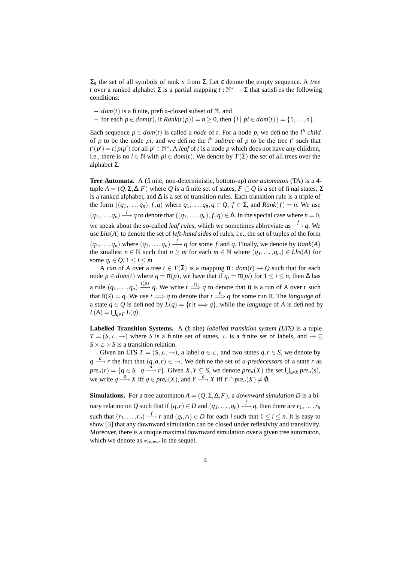Σ*<sup>n</sup>* the set of all symbols of rank *n* from Σ. Let ε denote the empty sequence. A *tree t* over a ranked alphabet  $\Sigma$  is a partial mapping  $t : \mathbb{N}^* \to \Sigma$  that satisfies the following conditions:

- **–** *dom*(*t*) is a finite, prefix-closed subset of N ∗ , and
- **–** for each *p* ∈ *dom*(*t*), if *Rank*(*t*(*p*)) = *n* ≥ 0, then {*i* | *pi* ∈ *dom*(*t*)} = {1,...,*n*}.

Each sequence  $p \in dom(t)$  is called a *node* of *t*. For a node *p*, we define the  $i^h$  child of *p* to be the node *pi*, and we define the  $i^h$  subtree of *p* to be the tree  $t'$  such that  $t'(p') = t(pip')$  for all  $p' \in \mathbb{N}^*$ . A *leaf* of *t* is a node *p* which does not have any children, i.e., there is no  $i \in \mathbb{N}$  with  $pi \in dom(t)$ . We denote by  $T(\Sigma)$  the set of all trees over the alphabet Σ.

**Tree Automata.** A (finite, non-deterministic, bottom-up) *tree automaton* (TA) is a 4 tuple  $A = (Q, \Sigma, \Delta, F)$  where Q is a finite set of states,  $F \subseteq Q$  is a set of final states,  $\Sigma$ is a ranked alphabet, and ∆ is a set of transition rules. Each transition rule is a triple of the form  $((q_1,...,q_n), f, q)$  where  $q_1,...,q_n, q \in Q, f \in \Sigma$ , and  $Rank(f) = n$ . We use  $(q_1, \ldots, q_n)$   $\stackrel{f}{\longrightarrow} q$  to denote that  $((q_1, \ldots, q_n), f, q) \in \Delta$ . In the special case where *n* = 0, we speak about the so-called *leaf rules*, which we sometimes abbreviate as  $\stackrel{f}{\longrightarrow} q$ . We use *Lhs*(*A*) to denote the set of *left-hand sides* of rules, i.e., the set of tuples of the form  $(q_1,...,q_n)$  where  $(q_1,...,q_n) \stackrel{f}{\longrightarrow} q$  for some *f* and *q*. Finally, we denote by *Rank*(*A*) the smallest  $n \in \mathbb{N}$  such that  $n \ge m$  for each  $m \in \mathbb{N}$  where  $(q_1, \ldots, q_m) \in L$ hs $(A)$  for some *q*<sub>*i*</sub> ∈ *Q*, 1 ≤ *i* ≤ *m*.

A *run* of *A* over a tree  $t \in T(\Sigma)$  is a mapping  $\pi : dom(t) \to Q$  such that for each node  $p \in dom(t)$  where  $q = \pi(p)$ , we have that if  $q_i = \pi(p_i)$  for  $1 \le i \le n$ , then  $\Delta$  has a rule  $(q_1,...,q_n) \stackrel{t(p)}{\longrightarrow} q$ . We write  $t \stackrel{\pi}{\Longrightarrow} q$  to denote that  $\pi$  is a run of *A* over *t* such that  $\pi(\varepsilon) = q$ . We use  $t \Longrightarrow q$  to denote that  $t \stackrel{\pi}{\Longrightarrow} q$  for some run  $\pi$ . The *language* of a state  $q \in Q$  is defined by  $L(q) = \{t | t \implies q\}$ , while the *language* of *A* is defined by  $L(A) = \bigcup_{q \in F} L(q).$ 

**Labelled Transition Systems.** A (finite) *labelled transition system (LTS)* is a tuple  $T = (S, L, \rightarrow)$  where *S* is a finite set of states, *L* is a finite set of labels, and  $\rightarrow \subseteq$  $S \times L \times S$  is a transition relation.

Given an LTS  $T = (S, \mathcal{L}, \rightarrow)$ , a label  $a \in \mathcal{L}$ , and two states  $q, r \in S$ , we denote by  $q \stackrel{a}{\longrightarrow} r$  the fact that  $(q, a, r) \in \rightarrow$ . We define the set of *a-predecessors* of a state *r* as  $\text{pre}_a(r) = \{q \in S \mid q \stackrel{a}{\longrightarrow} r\}.$  Given  $X, Y \subseteq S$ , we denote  $\text{pre}_a(X)$  the set  $\bigcup_{s \in X} \text{pre}_a(s)$ , we write  $q \stackrel{a}{\longrightarrow} X$  iff  $q \in pre_a(X)$ , and  $Y \stackrel{a}{\longrightarrow} X$  iff  $Y \cap pre_a(X) \neq \emptyset$ .

**Simulations.** For a tree automaton  $A = (Q, \Sigma, \Delta, F)$ , a *downward simulation D* is a binary relation on *Q* such that if  $(q, r) \in D$  and  $(q_1, \ldots, q_n) \stackrel{f}{\longrightarrow} q$ , then there are  $r_1, \ldots, r_n$ such that  $(r_1, \ldots, r_n) \stackrel{f}{\longrightarrow} r$  and  $(q_i, r_i) \in D$  for each *i* such that  $1 \le i \le n$ . It is easy to show [3] that any downward simulation can be closed under reflexivity and transitivity. Moreover, there is a unique maximal downward simulation over a given tree automaton, which we denote as  $\preccurlyeq_{down}$  in the sequel.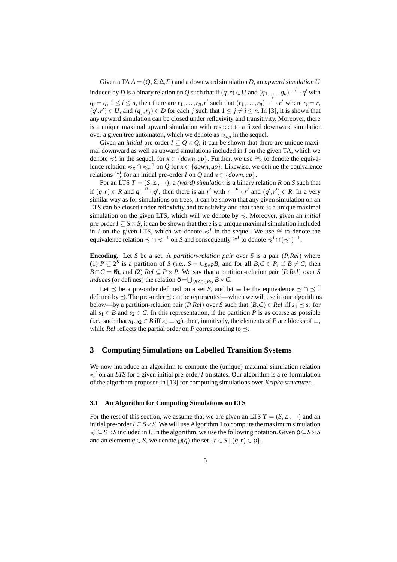Given a TA  $A = (Q, \Sigma, \Delta, F)$  and a downward simulation *D*, an *upward simulation U* induced by *D* is a binary relation on *Q* such that if  $(q, r) \in U$  and  $(q_1, \ldots, q_n) \stackrel{f}{\longrightarrow} q'$  with  $q_i = q, 1 \le i \le n$ , then there are  $r_1, \ldots, r_n, r'$  such that  $(r_1, \ldots, r_n) \stackrel{f}{\longrightarrow} r'$  where  $r_i = r$ ,  $(q', r') \in U$ , and  $(q_j, r_j) \in D$  for each *j* such that  $1 \leq j \neq i \leq n$ . In [3], it is shown that any upward simulation can be closed under reflexivity and transitivity. Moreover, there is a unique maximal upward simulation with respect to a fixed downward simulation over a given tree automaton, which we denote as  $\prec_{up}$  in the sequel.

Given an *initial* pre-order  $I \subseteq Q \times Q$ , it can be shown that there are unique maximal downward as well as upward simulations included in *I* on the given TA, which we denote  $\preccurlyeq_x^I$  in the sequel, for  $x \in \{down, up\}$ . Further, we use  $\cong_x$  to denote the equivalence relation  $\preccurlyeq_x \cap \preccurlyeq_x^{-1}$  on  $Q$  for  $x \in \{down, up\}$ . Likewise, we define the equivalence *relations*  $\cong_x^I$  for an initial pre-order *I* on *Q* and *x* ∈ {*down*,*up*}.

For an LTS  $T = (S, L, \rightarrow)$ , a *(word) simulation* is a binary relation R on S such that if  $(q, r) \in R$  and  $q \stackrel{a}{\longrightarrow} q'$ , then there is an *r'* with  $r \stackrel{a}{\longrightarrow} r'$  and  $(q', r') \in R$ . In a very similar way as for simulations on trees, it can be shown that any given simulation on an LTS can be closed under reflexivity and transitivity and that there is a unique maximal simulation on the given LTS, which will we denote by  $\leq$ . Moreover, given an *initial* pre-order  $I \subseteq S \times S$ , it can be shown that there is a unique maximal simulation included in *I* on the given LTS, which we denote  $\preccurlyeq$ <sup>*I*</sup> in the sequel. We use ≅ to denote the equivalence relation  $\preccurlyeq \cap \preccurlyeq^{-1}$  on *S* and consequently  $\cong^I$  to denote  $\preccurlyeq^I \cap (\preccurlyeq^I)^{-1}$ .

**Encoding.** Let *S* be a set. A *partition-relation pair* over *S* is a pair (*P*,*Rel*) where (1)  $P \subseteq 2^S$  is a partition of *S* (i.e.,  $S = \bigcup_{B \in P} B$ , and for all  $B, C \in P$ , if  $B \neq C$ , then *B* ∩ *C* = 0), and (2) *Rel*  $\subseteq$  *P* × *P*. We say that a partition-relation pair (*P,Rel*) over *S induces* (or defines) the relation  $\delta = \bigcup_{(B,C) \in Rel} B \times C$ .

Let  $\leq$  be a pre-order defined on a set *S*, and let  $\equiv$  be the equivalence  $\leq \cap \leq^{-1}$ defined by  $\leq$ . The pre-order  $\leq$  can be represented—which we will use in our algorithms below—by a partition-relation pair  $(P, Rel)$  over *S* such that  $(B, C) \in Rel$  iff  $s_1 \prec s_2$  for all  $s_1 \in B$  and  $s_2 \in C$ . In this representation, if the partition P is as coarse as possible (i.e., such that  $s_1, s_2 \in B$  iff  $s_1 \equiv s_2$ ), then, intuitively, the elements of *P* are blocks of  $\equiv$ , while *Rel* reflects the partial order on *P* corresponding to  $\prec$ .

# **3 Computing Simulations on Labelled Transition Systems**

We now introduce an algorithm to compute the (unique) maximal simulation relation  $\preccurlyeq^I$  on an *LTS* for a given initial pre-order *I* on states. Our algorithm is a re-formulation of the algorithm proposed in [13] for computing simulations over *Kripke structures*.

#### **3.1 An Algorithm for Computing Simulations on LTS**

For the rest of this section, we assume that we are given an LTS  $T = (S, L, \rightarrow)$  and an initial pre-order  $I \subseteq S \times S$ . We will use Algorithm 1 to compute the maximum simulation 4*I*⊆ *S*×*S* included in *I*. In the algorithm, we use the following notation. Given ρ ⊆ *S*×*S* and an element  $q \in S$ , we denote  $p(q)$  the set  $\{r \in S \mid (q, r) \in p\}$ .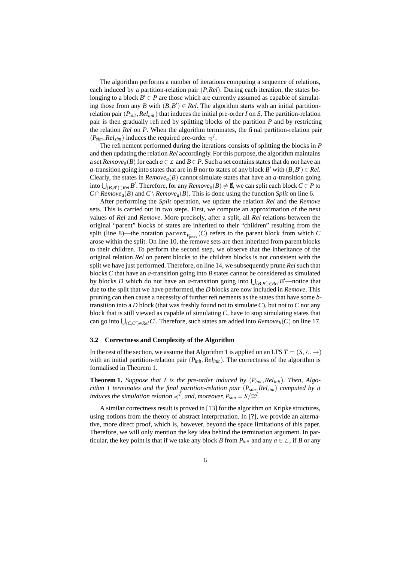The algorithm performs a number of iterations computing a sequence of relations, each induced by a partition-relation pair (*P*,*Rel*). During each iteration, the states belonging to a block  $B' \in P$  are those which are currently assumed as capable of simulating those from any *B* with  $(B, B') \in Rel$ . The algorithm starts with an initial partitionrelation pair (*Pinit* ,*Relinit*) that induces the initial pre-order *I* on *S*. The partition-relation pair is then gradually refined by splitting blocks of the partition *P* and by restricting the relation *Rel* on *P*. When the algorithm terminates, the final partition-relation pair  $(P_{sim}, Rel_{sim})$  induces the required pre-order  $\preccurlyeq^I$ .

The refinement performed during the iterations consists of splitting the blocks in *P* and then updating the relation *Rel* accordingly. For this purpose, the algorithm maintains a set *Remove<sub>a</sub>*(*B*) for each  $a \in L$  and  $B \in P$ . Such a set contains states that do not have an *a*-transition going into states that are in *B* nor to states of any block *B*<sup> $\prime$ </sup> with  $(B, B') \in Rel$ . Clearly, the states in  $Remove<sub>a</sub>(B)$  cannot simulate states that have an *a*-transition going into  $\bigcup_{(B,B')\in Rel} B'$ . Therefore, for any  $Remove_a(B) \neq \emptyset$ , we can split each block  $C \in P$  to  $C \cap$ *Remove<sub>a</sub>*(*B*) and *C* \ *Remove<sub>a</sub>*(*B*). This is done using the function *Split* on line 6.

After performing the *Split* operation, we update the relation *Rel* and the *Remove* sets. This is carried out in two steps. First, we compute an approximation of the next values of *Rel* and *Remove*. More precisely, after a split, all *Rel* relations between the original "parent" blocks of states are inherited to their "children" resulting from the split (line 8)—the notation parent<sub>*P*prev</sub> $(C)$  refers to the parent block from which *C* arose within the split. On line 10, the remove sets are then inherited from parent blocks to their children. To perform the second step, we observe that the inheritance of the original relation *Rel* on parent blocks to the children blocks is not consistent with the split we have just performed. Therefore, on line 14, we subsequently prune *Rel* such that blocks *C* that have an *a*-transition going into *B* states cannot be considered as simulated by blocks *D* which do not have an *a*-transition going into  $\bigcup_{(B,B')\in Rel} B'$ —notice that due to the split that we have performed, the *D* blocks are now included in *Remove*. This pruning can then cause a necessity of further refinements as the states that have some *b*transition into a *D* block (that was freshly found not to simulate *C*), but not to *C* nor any block that is still viewed as capable of simulating *C*, have to stop simulating states that can go into  $\bigcup_{(C,C')\in Rel} C'$ . Therefore, such states are added into  $Remove_b(C)$  on line 17.

# **3.2 Correctness and Complexity of the Algorithm**

In the rest of the section, we assume that Algorithm 1 is applied on an LTS  $T = (S, L, \rightarrow)$ with an initial partition-relation pair  $(P_{init}, Rel_{init})$ . The correctness of the algorithm is formalised in Theorem 1.

**Theorem 1.** *Suppose that I is the pre-order induced by* (*Pinit* ,*Relinit*)*. Then, Algorithm 1 terminates and the final partition-relation pair* (*Psim*,*Relsim*) *computed by it induces the simulation relation*  $\preccurlyeq$ <sup>*i*</sup>, and, moreover,  $P_{sim} = S / \cong$ <sup>*I*</sup>.

A similar correctness result is proved in [13] for the algorithm on Kripke structures, using notions from the theory of abstract interpretation. In [**?**], we provide an alternative, more direct proof, which is, however, beyond the space limitations of this paper. Therefore, we will only mention the key idea behind the termination argument. In particular, the key point is that if we take any block *B* from  $P_{init}$  and any  $a \in \mathcal{L}$ , if *B* or any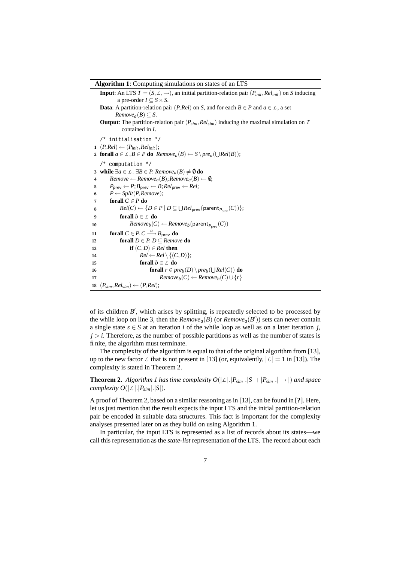**Algorithm 1**: Computing simulations on states of an LTS

```
Input: An LTS T = (S, \mathcal{L}, \rightarrow), an initial partition-relation pair (P_{init}, Rel_{init}) on S inducing
            a pre-order I \subseteq S \times S.
   Data: A partition-relation pair (P, Rel) on S, and for each B \in P and a \in L, a set
           Remove<sub>a</sub>(B) \subseteq S.
    Output: The partition-relation pair (Psim,Relsim) inducing the maximal simulation on T
              contained in I.
    /* initialisation */
 (1 \ (P, Rel) \leftarrow (P_{init}, Rel_{init});2 forall a \in L, B \in P do Remove_a(B) \leftarrow S \setminus pre_a(\bigcup Rel(B));/* computation */
 3 while ∃a ∈ L. ∃B ∈ P. Remove<sub>a</sub>(B) ≠ ∅do
 4 Remove \leftarrow Remove<sub>a</sub>(B); Remove<sub>a</sub>(B) \leftarrow 0;
 5 P_{prev} \leftarrow P; B_{prev} \leftarrow B; Rel_{prev} \leftarrow Rel;6 P \leftarrow Split(P, Remove);7 forall C ∈ P do
 \mathcal{R}el(C) \leftarrow \{D \in P \mid D \subseteq \bigcup \mathcal{R}el_{\mathsf{prev}}(\mathsf{parent}_{P_{\mathsf{prev}}}(C))\};9 forall b ∈ L do
10 Remove_b(C) \leftarrow Remove_b(\text{parent}_{P_{prev}}(C))forall C \in P. C \xrightarrow{a} B_{prev} do
12 forall D \in P. D \subseteq Remove do
13 if (C,D) \in Rel then
14 Rel \leftarrow Rel \setminus \{(C,D)\};15 forall b ∈ L do
forall r \in pre_b(D) \setminus pre_b(\bigcup Rel(C)) do
17 Remove<sub>b</sub>(C) ← Remove<sub>b</sub>(C)∪{r}
(18 \ (P_{sim}, Rel_{sim}) \leftarrow (P, Rel);
```
of its children B', which arises by splitting, is repeatedly selected to be processed by the while loop on line 3, then the  $Remove_a(B)$  (or  $Remove_a(B')$ ) sets can never contain a single state  $s \in S$  at an iteration *i* of the while loop as well as on a later iteration *j*,  $j > i$ . Therefore, as the number of possible partitions as well as the number of states is finite, the algorithm must terminate.

The complexity of the algorithm is equal to that of the original algorithm from [13], up to the new factor  $\angle$  that is not present in [13] (or, equivalently,  $|\angle| = 1$  in [13]). The complexity is stated in Theorem 2.

**Theorem 2.** Algorithm 1 has time complexity  $O(|L| |P_{sim}| |S| + |P_{sim}| |O|)$  and space *complexity*  $O(|L| |P_{sim}| |S|)$ *.* 

A proof of Theorem 2, based on a similar reasoning as in [13], can be found in [**?**]. Here, let us just mention that the result expects the input LTS and the initial partition-relation pair be encoded in suitable data structures. This fact is important for the complexity analyses presented later on as they build on using Algorithm 1.

In particular, the input LTS is represented as a list of records about its states—we call this representation as the *state-list* representation of the LTS. The record about each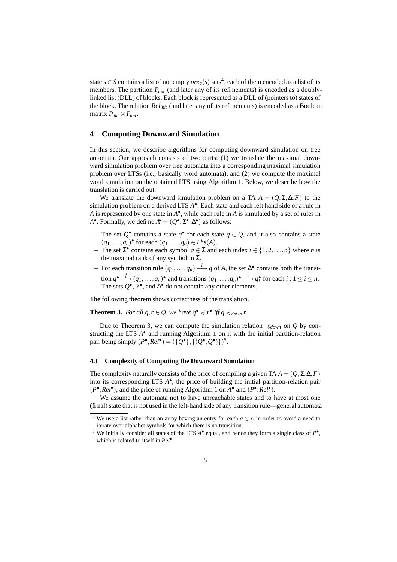state  $s \in S$  contains a list of nonempty  $pre_a(s)$  sets<sup>4</sup>, each of them encoded as a list of its members. The partition  $P_{init}$  (and later any of its refinements) is encoded as a doublylinked list (DLL) of blocks. Each block is represented as a DLL of (pointers to) states of the block. The relation *Relinit* (and later any of its refinements) is encoded as a Boolean matrix  $P_{init} \times P_{init}$ .

# **4 Computing Downward Simulation**

In this section, we describe algorithms for computing downward simulation on tree automata. Our approach consists of two parts: (1) we translate the maximal downward simulation problem over tree automata into a corresponding maximal simulation problem over LTSs (i.e., basically word automata), and (2) we compute the maximal word simulation on the obtained LTS using Algorithm 1. Below, we describe how the translation is carried out.

We translate the downward simulation problem on a TA  $A = (Q, \Sigma, \Delta, F)$  to the simulation problem on a derived LTS *A* • . Each state and each left hand side of a rule in *A* is represented by one state in  $A^{\bullet}$ , while each rule in *A* is simulated by a set of rules in *A*<sup>•</sup>. Formally, we define  $A^{\bullet} = (Q^{\bullet}, \Sigma^{\bullet}, \Delta^{\bullet})$  as follows:

- **−** The set  $Q$ <sup>•</sup> contains a state  $q$ <sup>•</sup> for each state  $q \in Q$ , and it also contains a state  $(q_1, \ldots, q_n)$  for each  $(q_1, \ldots, q_n) \in Lhs(A)$ .
- $\blacksquare$  The set Σ<sup>•</sup> contains each symbol *a* ∈ Σ and each index *i* ∈ {1,2,...,*n*} where *n* is the maximal rank of any symbol in  $\Sigma$ .
- − For each transition rule  $(q_1,...,q_n)$   $\stackrel{f}{\longrightarrow} q$  of *A*, the set ∆<sup>•</sup> contains both the transition  $q^{\bullet} \stackrel{f}{\longrightarrow} (q_1, \ldots, q_n)^{\bullet}$  and transitions  $(q_1, \ldots, q_n)^{\bullet} \stackrel{i}{\longrightarrow} q_i^{\bullet}$  for each  $i : 1 \le i \le n$ .
- $\overline{Q}$  **−** The sets  $Q$ <sup>•</sup>,  $\Sigma$ <sup>•</sup>, and  $\Delta$ <sup>•</sup> do not contain any other elements.

The following theorem shows correctness of the translation.

**Theorem 3.** *For all*  $q, r \in Q$ , *we have*  $q^{\bullet} \preccurlyeq r^{\bullet}$  *iff*  $q \preccurlyeq_{down} r$ .

Due to Theorem 3, we can compute the simulation relation  $\preccurlyeq_{down}$  on *Q* by constructing the LTS A<sup>•</sup> and running Algorithm 1 on it with the initial partition-relation pair being simply  $(P^{\bullet}, Rel^{\bullet}) = (\{Q^{\bullet}\}, \{(Q^{\bullet}, Q^{\bullet})\})^5$ .

# **4.1 Complexity of Computing the Downward Simulation**

The complexity naturally consists of the price of compiling a given TA  $A = (Q, \Sigma, \Delta, F)$ into its corresponding LTS *A* • , the price of building the initial partition-relation pair (*P* • ,*Rel*• ), and the price of running Algorithm 1 on *A* • and (*P* • ,*Rel*• ).

We assume the automata not to have unreachable states and to have at most one  $(f<sup>f</sup>)$  in that is not used in the left-hand side of any transition rule—general automata

<sup>&</sup>lt;sup>4</sup> We use a list rather than an array having an entry for each  $a \in L$  in order to avoid a need to iterate over alphabet symbols for which there is no transition.

<sup>&</sup>lt;sup>5</sup> We initially consider all states of the LTS  $A^{\bullet}$  equal, and hence they form a single class of  $P^{\bullet}$ , which is related to itself in *Rel*• .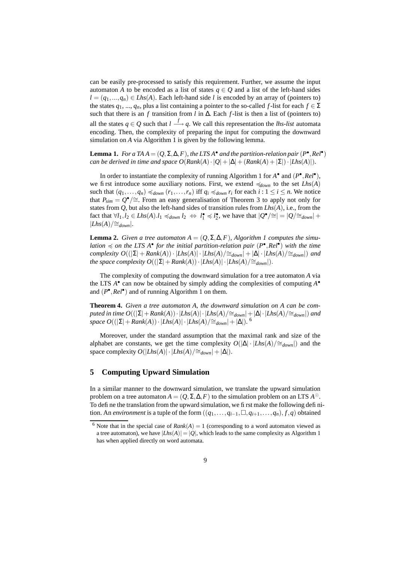can be easily pre-processed to satisfy this requirement. Further, we assume the input automaton *A* to be encoded as a list of states  $q \in Q$  and a list of the left-hand sides  $l = (q_1, ..., q_n) \in L$ hs $(A)$ . Each left-hand side *l* is encoded by an array of (pointers to) the states  $q_1, ..., q_n$ , plus a list containing a pointer to the so-called *f*-list for each  $f \in \Sigma$ such that there is an *f* transition from *l* in ∆. Each *f*-list is then a list of (pointers to) all the states  $q \in Q$  such that  $l \stackrel{f}{\longrightarrow} q$ . We call this representation the *lhs-list* automata encoding. Then, the complexity of preparing the input for computing the downward simulation on *A* via Algorithm 1 is given by the following lemma.

**Lemma 1.** For a TA  $A = (Q, \Sigma, \Delta, F)$ , the LTS  $A^{\bullet}$  and the partition-relation pair  $(P^{\bullet}, Re l^{\bullet})$ *can be derived in time and space*  $O(Rank(A) \cdot |Q| + |\Delta| + (Rank(A) + |\Sigma|) \cdot |Lhs(A)|)$ .

In order to instantiate the complexity of running Algorithm 1 for  $A^{\bullet}$  and  $(P^{\bullet}, Rel^{\bullet})$ , we first introduce some auxiliary notions. First, we extend  $\preccurlyeq_{down}$  to the set  $Lhs(A)$ such that  $(q_1,...,q_n) \preccurlyeq_{down} (r_1,...,r_n)$  iff  $q_i \preccurlyeq_{down} r_i$  for each  $i: 1 \leq i \leq n$ . We notice that  $P_{sim} = Q^{\bullet}/\cong$ . From an easy generalisation of Theorem 3 to apply not only for states from *Q*, but also the left-hand sides of transition rules from *Lhs*(*A*), i.e., from the fact that  $\forall l_1, l_2 \in Lhs(A) . l_1 \preccurlyeq_{down} l_2 \Leftrightarrow l_1^{\bullet} \preccurlyeq l_2^{\bullet}$ , we have that  $|Q^{\bullet}/\cong| = |Q/\cong_{down}| +$ |*Lhs*(*A*)/∼=*down*|.

**Lemma 2.** *Given a tree automaton*  $A = (Q, \Sigma, \Delta, F)$ , *Algorithm 1 computes the simulation*  $\leq$  *on the LTS A*<sup>•</sup> *for the initial partition-relation pair* ( $P$ <sup>•</sup>,*Rel*<sup>•</sup>) *with the time*  $complexity O((|\Sigma| + Rank(A)) \cdot |Lhs(A)| \cdot |Lhs(A)/\cong_{down}| + |\Delta| \cdot |Lhs(A)/\cong_{down}|)$  *and the space complexity*  $O((|\Sigma| + Rank(A)) \cdot |Lhs(A)| \cdot |Lhs(A)/\cong_{down}|).$ 

The complexity of computing the downward simulation for a tree automaton *A* via the LTS  $A^{\bullet}$  can now be obtained by simply adding the complexities of computing  $A^{\bullet}$ and  $(P^{\bullet}, Rel^{\bullet})$  and of running Algorithm 1 on them.

**Theorem 4.** *Given a tree automaton A, the downward simulation on A can be computed in time*  $O((|\Sigma| + Rank(A)) \cdot |Lhs(A)| \cdot |Lhs(A)/ \cong_{down}| + |\Delta| \cdot |Lhs(A)/ \cong_{down}|)$  *and space O*((|Σ|+*Rank*(*A*))· |*Lhs*(*A*)| · |*Lhs*(*A*)/∼=*down*|+|∆|)*.* 6

Moreover, under the standard assumption that the maximal rank and size of the alphabet are constants, we get the time complexity  $O(|\Delta| \cdot |L \log(A)/\cong_{down}|)$  and the space complexity  $O(|Lhs(A)| \cdot |Lhs(A)| \leq_{down}| + |\Delta|)$ .

# **5 Computing Upward Simulation**

In a similar manner to the downward simulation, we translate the upward simulation problem on a tree automaton  $A = (Q, \Sigma, \Delta, F)$  to the simulation problem on an LTS  $A^{\odot}$ . To define the translation from the upward simulation, we first make the following definition. An *environment* is a tuple of the form  $((q_1, \ldots, q_{i-1}, \Box, q_{i+1}, \ldots, q_n), f, q)$  obtained

<sup>&</sup>lt;sup>6</sup> Note that in the special case of  $Rank(A) = 1$  (corresponding to a word automaton viewed as a tree automaton), we have  $|Lhs(A)| = |Q|$ , which leads to the same complexity as Algorithm 1 has when applied directly on word automata.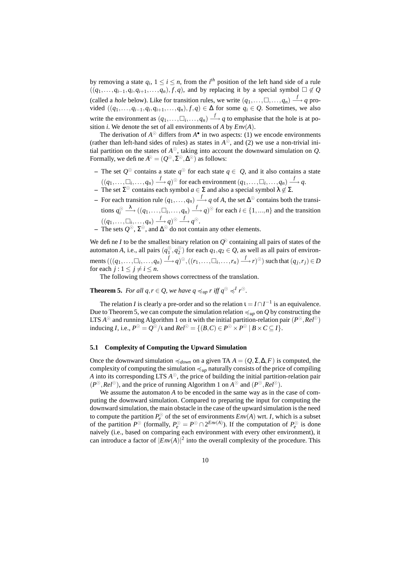by removing a state  $q_i$ ,  $1 \le i \le n$ , from the *i*<sup>th</sup> position of the left hand side of a rule  $((q_1, ..., q_{i-1}, q_i, q_{i+1}, ..., q_n), f, q)$ , and by replacing it by a special symbol □ ∉ *Q* (called a *hole* below). Like for transition rules, we write  $(q_1, \ldots, \Box, \ldots, q_n) \stackrel{f}{\longrightarrow} q$  provided  $((q_1, \ldots, q_{i-1}, q_i, q_{i+1}, \ldots, q_n), f, q) \in \Delta$  for some  $q_i \in \mathcal{Q}$ . Sometimes, we also write the environment as  $(q_1, \ldots, \Box_i, \ldots, q_n) \stackrel{f}{\longrightarrow} q$  to emphasise that the hole is at position *i*. We denote the set of all environments of *A* by *Env*(*A*).

The derivation of  $A^{\odot}$  differs from  $A^{\bullet}$  in two aspects: (1) we encode environments (rather than left-hand sides of rules) as states in  $A^{\odot}$ , and (2) we use a non-trivial initial partition on the states of  $A^{\odot}$ , taking into account the downward simulation on *Q*. Formally, we define  $A^{\odot} = (Q^{\odot}, \Sigma^{\odot}, \Delta^{\odot})$  as follows:

- **−** The set  $Q^{\odot}$  contains a state  $q^{\odot}$  for each state  $q \in Q$ , and it also contains a state  $((q_1, \ldots, \Box_i, \ldots, q_n) \stackrel{f}{\longrightarrow} q)$ <sup>⊙</sup> for each environment  $(q_1, \ldots, \Box_i, \ldots, q_n) \stackrel{f}{\longrightarrow} q$ .
- **–** The set Σ<sup>⊙</sup> contains each symbol *a* ∈ Σ and also a special symbol  $λ \notin Σ$ .
- $-$  For each transition rule  $(q_1, \ldots, q_n)$   $\stackrel{f}{\longrightarrow} q$  of *A*, the set ∆<sup>⊙</sup> contains both the transitions  $q_i^{\odot} \xrightarrow{\lambda} ((q_1, \ldots, \Box_i, \ldots, q_n) \xrightarrow{f} q)^{\odot}$  for each  $i \in \{1, \ldots, n\}$  and the transition  $((q_1, \ldots, \Box_i, \ldots, q_n) \stackrel{f}{\longrightarrow} q)$ <sup> $\circ$ </sup> $\stackrel{f}{\longrightarrow} q$ <sup> $\circ$ </sup>.
- $\overline{\phantom{a}}$  The sets  $Q^{\odot}$ , Σ<sup>⊙</sup>, and Δ<sup>⊙</sup> do not contain any other elements.

We define *I* to be the smallest binary relation on  $Q^{\circ}$  containing all pairs of states of the automaton *A*, i.e., all pairs  $(q_1^{\odot}, q_2^{\odot})$  for each  $q_1, q_2 \in Q$ , as well as all pairs of environ- $\dim$   $((q_1, \ldots, \Box_i, \ldots, q_n) \stackrel{f}{\longrightarrow} q)^\odot, ((r_1, \ldots, \Box_i, \ldots, r_n) \stackrel{f}{\longrightarrow} r)^\odot)$  such that  $(q_j, r_j) \in D$ for each  $j: 1 \leq j \neq i \leq n$ .

The following theorem shows correctness of the translation.

**Theorem 5.** For all  $q, r \in Q$ , we have  $q \preccurlyeq_{up} r$  iff  $q^{\odot} \preccurlyeq^{l} r^{\odot}$ .

The relation *I* is clearly a pre-order and so the relation  $i = I \cap I^{-1}$  is an equivalence. Due to Theorem 5, we can compute the simulation relation  $\preccurlyeq_{\mathfrak{u}p}$  on  $Q$  by constructing the LTS  $A^{\odot}$  and running Algorithm 1 on it with the initial partition-relation pair  $(P^{\odot}, Rel^{\odot})$ inducing *I*, i.e.,  $P^{\odot} = Q^{\odot}/\iota$  and  $Rel^{\odot} = \{(B, C) \in P^{\odot} \times P^{\odot} \mid B \times C \subseteq I\}.$ 

#### **5.1 Complexity of Computing the Upward Simulation**

Once the downward simulation  $\preccurlyeq_{down}$  on a given TA *A* = (*Q*, Σ, Δ, *F*) is computed, the complexity of computing the simulation  $\preccurlyeq_{up}$  naturally consists of the price of compiling *A* into its corresponding LTS  $A^{\odot}$ , the price of building the initial partition-relation pair  $(P^{\odot}, Rel^{\odot})$ , and the price of running Algorithm 1 on  $A^{\odot}$  and  $(P^{\odot}, Rel^{\odot})$ .

We assume the automaton *A* to be encoded in the same way as in the case of computing the downward simulation. Compared to preparing the input for computing the downward simulation, the main obstacle in the case of the upward simulation is the need to compute the partition  $P_e^{\odot}$  of the set of environments  $Env(A)$  wrt. *I*, which is a subset of the partition  $P^{\odot}$  (formally,  $P_e^{\odot} = P^{\odot} \cap 2^{Env(A)}$ ). If the computation of  $P_e^{\odot}$  is done naively (i.e., based on comparing each environment with every other environment), it can introduce a factor of  $|Env(A)|^2$  into the overall complexity of the procedure. This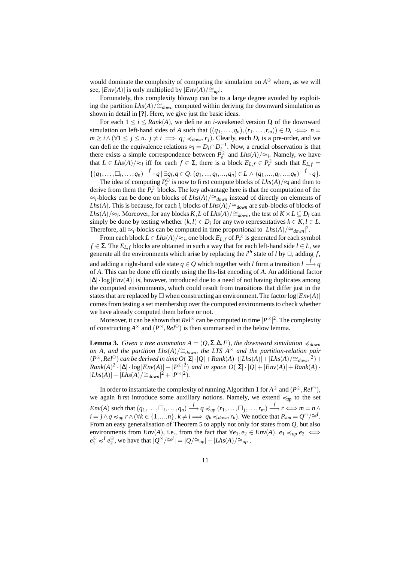would dominate the complexity of computing the simulation on  $A^{\odot}$  where, as we will see,  $|Env(A)|$  is only multiplied by  $|Env(A)/\cong_{up}|$ .

Fortunately, this complexity blowup can be to a large degree avoided by exploiting the partition  $L(s) / \approx_{down}$  computed within deriving the downward simulation as shown in detail in [**?**]. Here, we give just the basic ideas.

For each  $1 \leq i \leq Rank(A)$ , we define an *i*-weakened version *D<sub>i</sub>* of the downward simulation on left-hand sides of *A* such that  $((q_1, \ldots, q_n), (r_1, \ldots, r_m)) \in D_i \iff n =$ *m* ≥ *i* ∧ (∀1 ≤ *j* ≤ *n*. *j* ≠ *i*  $\Rightarrow$  *q*<sub>*j*</sub>  $\preccurlyeq$  *down r*<sub>*j*</sub>). Clearly, each *D<sub>i</sub>* is a pre-order, and we can define the equivalence relations  $\approx = D_i \cap D_i^{-1}$ . Now, a crucial observation is that there exists a simple correspondence between  $P_e^{\odot}$  and  $Lhs(A)/\approx_i$ . Namely, we have that  $L \in Lhs(A)/\approx_i$  iff for each  $f \in \Sigma$ , there is a block  $E_{L,f} \in P_e^{\odot}$  such that  $E_{L,f} =$  $\{(q_1,\ldots,\Box_i,\ldots,q_n)\stackrel{f}{\longrightarrow} q \mid \exists q_i,q \in \mathcal{Q}. (q_1,\ldots,q_i,\ldots,q_n) \in L \land (q_1,\ldots,q_i,\ldots,q_n)\stackrel{f}{\longrightarrow} q\}.$ 

The idea of computing  $P_e^{\odot}$  is now to first compute blocks of  $Lhs(A)/\approx$  and then to derive from them the  $P_e^{\odot}$  blocks. The key advantage here is that the computation of the ≈*i*-blocks can be done on blocks of *Lhs*(*A*)/∼=*down* instead of directly on elements of *Lhs*(*A*). This is because, for each *i*, blocks of *Lhs*(*A*)/≅<sub>*down*</sub> are sub-blocks of blocks of  $Lhs(A)/\approx$ <sub>*i*</sub>. Moreover, for any blocks *K*, *L* of  $Lhs(A)/\cong$ <sub>*down*</sub>, the test of *K* × *L* ⊆ *D*<sup>*i*</sup> can simply be done by testing whether  $(k, l) \in D_i$  for any two representatives  $k \in K, l \in L$ . Therefore, all ≈*i*-blocks can be computed in time proportional to  $|Lhs(A)| \cong_{down}|^2$ .

From each block  $L \in Lhs(A)/\approx_i$ , one block  $E_{L,f}$  of  $P_e^{\odot}$  is generated for each symbol  $f \in \Sigma$ . The  $E_{L,f}$  blocks are obtained in such a way that for each left-hand side  $l \in L$ , we generate all the environments which arise by replacing the  $i^{th}$  state of *l* by  $\Box$ , adding *f*, and adding a right-hand side state  $q \in Q$  which together with *l* form a transition  $l \stackrel{f}{\longrightarrow} q$ of *A*. This can be done efficiently using the lhs-list encoding of *A*. An additional factor |∆| · log|*Env*(*A*)| is, however, introduced due to a need of not having duplicates among the computed environments, which could result from transitions that differ just in the states that are replaced by  $\Box$  when constructing an environment. The factor  $\log|Env(A)|$ comes from testing a set membership over the computed environments to check whether we have already computed them before or not.

Moreover, it can be shown that  $Rel^{\odot}$  can be computed in time  $|P^{\odot}|^2$ . The complexity of constructing  $A^{\odot}$  and  $(P^{\odot}, Rel^{\odot})$  is then summarised in the below lemma.

**Lemma 3.** *Given a tree automaton*  $A = (Q, \Sigma, \Delta, F)$ *, the downward simulation*  $\preccurlyeq_{down}$  $\alpha$  *A,* and the partition  $\text{Lhs}(A)/\cong_{down}$ , the LTS  $A^{\odot}$  and the partition-relation pair  $(P^{\odot}, Rel^{\odot})$  *can be derived in time*  $O(|\Sigma|\cdot|Q|+Rank(A)\cdot(|Lhs(A)|+|Lhs(A)/\cong_{down}|^2)+$  $Rank(A)^2 \cdot |\Delta| \cdot \log |Env(A)| + |P^{\odot}|^2)$  and in space  $O(|\Sigma| \cdot |Q| + |Env(A)| + Rank(A) \cdot$  $|Lhs(A)| + |Lhs(A)/2 \geq_{down}|^2 + |P^{\odot}|^2$ .

In order to instantiate the complexity of running Algorithm 1 for  $A^{\odot}$  and  $(P^{\odot}, Rel^{\odot})$ , we again first introduce some auxiliary notions. Namely, we extend  $\preccurlyeq_{up}$  to the set  $Env(A)$  such that  $(q_1, \ldots, \Box_i, \ldots, q_n) \stackrel{f}{\longrightarrow} q \preccurlyeq_{up} (r_1, \ldots, \Box_j, \ldots, r_m) \stackrel{f}{\longrightarrow} r \Longleftrightarrow m = n \wedge$  $i = j \land q \preccurlyeq_{up} r \land (\forall k \in \{1, ..., n\}.$   $k \neq i \Longrightarrow q_k \preccurlyeq_{down} r_k)$ . We notice that  $P_{sim} = Q^{\odot}/\simeq I$ . From an easy generalisation of Theorem 5 to apply not only for states from *Q*, but also environments from  $Env(A)$ , i.e., from the fact that  $\forall e_1, e_2 \in Env(A)$ .  $e_1 \preccurlyeq_{up} e_2 \iff$  $e_1^{\odot} \preccurlyeq l$   $e_2^{\odot}$ , we have that  $|\tilde{Q}^{\odot}/\cong l| = |Q/\cong_{up}| + |Lhs(A)/\cong_{up}|.$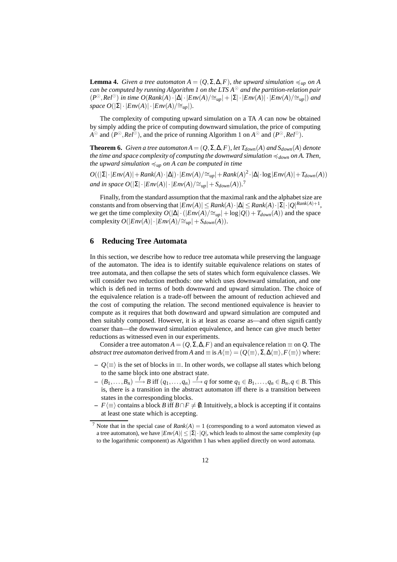**Lemma 4.** *Given a tree automaton*  $A = (Q, \Sigma, \Delta, F)$ *, the upward simulation*  $\preccurlyeq_{up}$  *on A can be computed by running Algorithm 1 on the LTS A and the partition-relation pair*  $(P^{\odot},Rel^{\odot})$  *in time*  $O(Rank(A) \cdot |\Delta| \cdot |Env(A)/\cong_{up}| + |\Sigma| \cdot |Env(A)| \cdot |Env(A)/\cong_{up}|)$  *and*  $space$   $O(|\Sigma| \cdot |Env(A)| \cdot |Env(A)/\cong_{up}|)$ .

The complexity of computing upward simulation on a TA *A* can now be obtained by simply adding the price of computing downward simulation, the price of computing  $A^{\odot}$  and  $(P^{\odot}, Rel^{\odot})$ , and the price of running Algorithm 1 on  $A^{\odot}$  and  $(P^{\odot},Rel^{\odot})$ .

**Theorem 6.** *Given a tree automaton*  $A = (Q, \Sigma, \Delta, F)$ *, let*  $T_{down}(A)$  *and*  $S_{down}(A)$  *denote the time and space complexity of computing the downward simulation*  $\preccurlyeq_{down}$  *on* A. Then, *the upward simulation*  $\preccurlyeq_{up}$  *on A can be computed in time* 

*O*(( $|\Sigma|$ ·|*Env*(*A*)|+*Rank*(*A*)· $|\Delta|$ )·|*Env*(*A*)/≅<sub>*up*</sub>|+*Rank*(*A*)<sup>2</sup>· $|\Delta|$ ·log|*Env*(*A*)|+*T*<sub>*down*</sub>(*A*))  $\int$ *and in space*  $O(|\Sigma| \cdot |Env(A)| \cdot |Env(A)| \approx \frac{1}{\mu} + S_{down}(A))$ .<sup>7</sup>

Finally, from the standard assumption that the maximal rank and the alphabet size are constants and from observing that  $|Env(A)| \leq Rank(A) \cdot |\Delta| \leq Rank(A) \cdot |\Sigma| \cdot |Q|^{Rank(A)+1}$ , we get the time complexity  $O(|\Delta| \cdot (|Env(A)/\cong_{up}| + \log |Q|) + T_{down}(A))$  and the space complexity  $O(|Env(A)| \cdot |Env(A)/\cong_{up}| + S_{down}(A)).$ 

# **6 Reducing Tree Automata**

In this section, we describe how to reduce tree automata while preserving the language of the automaton. The idea is to identify suitable equivalence relations on states of tree automata, and then collapse the sets of states which form equivalence classes. We will consider two reduction methods: one which uses downward simulation, and one which is defined in terms of both downward and upward simulation. The choice of the equivalence relation is a trade-off between the amount of reduction achieved and the cost of computing the relation. The second mentioned equivalence is heavier to compute as it requires that both downward and upward simulation are computed and then suitably composed. However, it is at least as coarse as—and often significantly coarser than—the downward simulation equivalence, and hence can give much better reductions as witnessed even in our experiments.

Consider a tree automaton  $A = (Q, \Sigma, \Delta, F)$  and an equivalence relation  $\equiv$  on  $Q$ . The *abstract tree automaton* derived from *A* and  $\equiv$  is  $A\langle \equiv \rangle = (Q\langle \equiv \rangle, \Sigma, \Delta \langle \equiv \rangle, F\langle \equiv \rangle)$  where:

- $–$  *Q* $\equiv$  is the set of blocks in  $\equiv$ . In other words, we collapse all states which belong to the same block into one abstract state.
- $(B_1, \ldots, B_n)$   $\stackrel{f}{\longrightarrow} B$  iff  $(q_1, \ldots, q_n)$   $\stackrel{f}{\longrightarrow} q$  for some  $q_1 \in B_1, \ldots, q_n \in B_n, q \in B$ . This is, there is a transition in the abstract automaton iff there is a transition between states in the corresponding blocks.
- $-F\equiv$  contains a block *B* iff *B*∩*F*  $\neq$  0. Intuitively, a block is accepting if it contains at least one state which is accepting.

<sup>&</sup>lt;sup>7</sup> Note that in the special case of  $Rank(A) = 1$  (corresponding to a word automaton viewed as a tree automaton), we have  $|Env(A)| \leq |\Sigma| \cdot |Q|$ , which leads to almost the same complexity (up to the logarithmic component) as Algorithm 1 has when applied directly on word automata.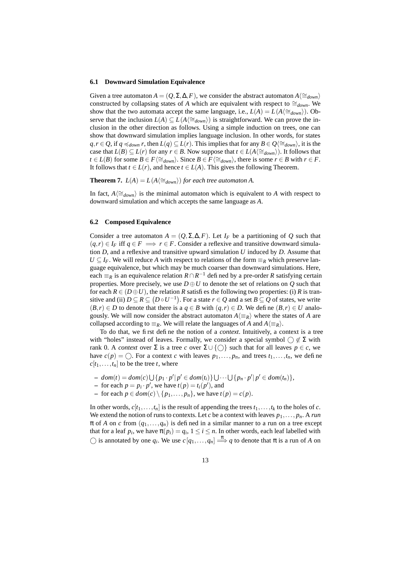#### **6.1 Downward Simulation Equivalence**

Given a tree automaton  $A = (Q, \Sigma, \Delta, F)$ , we consider the abstract automaton  $A \left( \cong_{down} \right)$ constructed by collapsing states of *A* which are equivalent with respect to  $\cong_{down}$ . We show that the two automata accept the same language, i.e.,  $L(A) = L(A \langle \cong_{down} \rangle)$ . Observe that the inclusion  $L(A) \subseteq L(A \langle \cong_{down} \rangle)$  is straightforward. We can prove the inclusion in the other direction as follows. Using a simple induction on trees, one can show that downward simulation implies language inclusion. In other words, for states *q*, *r* ∈ *Q*, if *q*  $\preceq_{down}$  *r*, then *L*(*q*) ⊂ *L*(*r*). This implies that for any *B* ∈ *Q*( $\cong$ <sub>*down*</sub>), it is the case that  $L(B) \subseteq L(r)$  for any  $r \in B$ . Now suppose that  $t \in L(A \langle \cong_{down} \rangle)$ . It follows that *t* ∈ *L*(*B*) for some *B* ∈ *F* $\langle \cong_{down} \rangle$ . Since *B* ∈ *F* $\langle \cong_{down} \rangle$ , there is some *r* ∈ *B* with *r* ∈ *F*. It follows that *t* ∈ *L*(*r*), and hence *t* ∈ *L*(*A*). This gives the following Theorem.

**Theorem 7.**  $L(A) = L(A \langle \cong_{down} \rangle)$  *for each tree automaton A.* 

In fact,  $A\langle \cong_{down} \rangle$  is the minimal automaton which is equivalent to *A* with respect to downward simulation and which accepts the same language as *A*.

## **6.2 Composed Equivalence**

Consider a tree automaton  $A = (Q, \Sigma, \Delta, F)$ . Let  $I_F$  be a partitioning of Q such that  $(q, r) ∈ I<sub>F</sub>$  iff  $q ∈ F \implies r ∈ F$ . Consider a reflexive and transitive downward simulation *D*, and a reflexive and transitive upward simulation *U* induced by *D*. Assume that *U* ⊂ *I<sub>F</sub>*. We will reduce *A* with respect to relations of the form  $\equiv$ <sub>*R*</sub> which preserve language equivalence, but which may be much coarser than downward simulations. Here, each ≡*<sup>R</sup>* is an equivalence relation *R*∩*R* <sup>−</sup><sup>1</sup> defined by a pre-order *R* satisfying certain properties. More precisely, we use  $D \oplus U$  to denote the set of relations on *Q* such that for each  $R \in (D \oplus U)$ , the relation R satisfies the following two properties: (i) R is transitive and (ii)  $D \subseteq R \subseteq (D \circ U^{-1})$ . For a state  $r \in Q$  and a set  $B \subseteq Q$  of states, we write  $(B,r) ∈ D$  to denote that there is a *q* ∈ *B* with  $(q, r) ∈ D$ . We define  $(B,r) ∈ U$  analogously. We will now consider the abstract automaton  $A \equiv_R$  where the states of *A* are collapsed according to  $\equiv$ <sub>*R*</sub>. We will relate the languages of *A* and  $A$  $\langle \equiv$ <sub>*R*</sub> $\rangle$ .

To do that, we first define the notion of a *context*. Intuitively, a context is a tree with "holes" instead of leaves. Formally, we consider a special symbol  $\bigcap \notin \Sigma$  with rank 0. A *context* over  $\Sigma$  is a tree *c* over  $\Sigma \cup \{ \bigcap \}$  such that for all leaves  $p \in c$ , we have  $c(p) = \bigcirc$ . For a context *c* with leaves  $p_1, \ldots, p_n$ , and trees  $t_1, \ldots, t_n$ , we define  $c[t_1, \ldots, t_n]$  to be the tree *t*, where

- $dom(t) = dom(c) \cup \{p_1 \cdot p' | p' \in dom(t_i)\} \cup \cdots \cup \{p_n \cdot p' | p' \in dom(t_n)\},$
- $\blacksquare$  for each  $p = p_i \cdot p'$ , we have  $t(p) = t_i(p')$ , and
- **–** for each *p* ∈ *dom*(*c*) \ {*p*1,..., *pn*}, we have *t*(*p*) = *c*(*p*).

In other words,  $c[t_1,...,t_n]$  is the result of appending the trees  $t_1,...,t_k$  to the holes of *c*. We extend the notion of runs to contexts. Let *c* be a context with leaves  $p_1, \ldots, p_n$ . A *run*  $\pi$  of *A* on *c* from  $(q_1, \ldots, q_n)$  is defined in a similar manner to a run on a tree except that for a leaf  $p_i$ , we have  $\pi(p_i) = q_i$ ,  $1 \leq i \leq n$ . In other words, each leaf labelled with  $\bigcirc$  is annotated by one  $q_i$ . We use  $c[q_1,\ldots,q_n] \stackrel{\pi}{\Longrightarrow} q$  to denote that  $\pi$  is a run of *A* on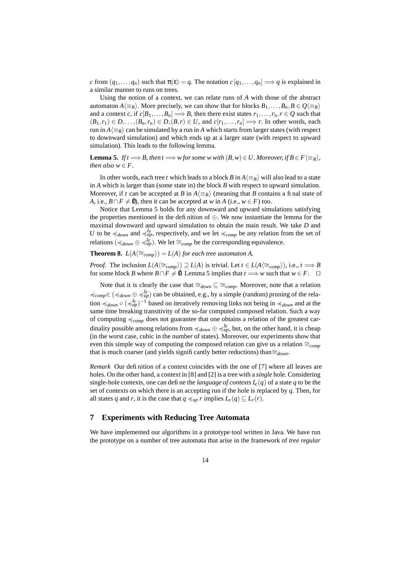*c* from  $(q_1, \ldots, q_n)$  such that  $\pi(\varepsilon) = q$ . The notation  $c[q_1, \ldots, q_n] \Longrightarrow q$  is explained in a similar manner to runs on trees.

Using the notion of a context, we can relate runs of *A* with those of the abstract automaton *A* $\langle \equiv_R \rangle$ . More precisely, we can show that for blocks  $B_1, \ldots, B_n, B \in \mathcal{Q} \langle \equiv_R \rangle$ and a context *c*, if  $c[B_1,...,B_n] \Longrightarrow B$ , then there exist states  $r_1,...,r_n$ ,  $r \in Q$  such that  $(B_1, r_1) \in D, \ldots, (B_n, r_n) \in D, (B, r) \in U$ , and  $c[r_1, \ldots, r_n] \Longrightarrow r$ . In other words, each run in  $A \langle \equiv_R \rangle$  can be simulated by a run in *A* which starts from larger states (with respect to downward simulation) and which ends up at a larger state (with respect to upward simulation). This leads to the following lemma.

**Lemma 5.** If  $t \Longrightarrow B$ , then  $t \Longrightarrow w$  for some w with  $(B, w) \in U$ . Moreover, if  $B \in F \langle \equiv_R \rangle$ . *then also*  $w \in F$ .

In other words, each tree *t* which leads to a block *B* in  $A\langle \equiv_R \rangle$  will also lead to a state in *A* which is larger than (some state in) the block *B* with respect to upward simulation. Moreover, if *t* can be accepted at *B* in  $A \equiv_R$  (meaning that *B* contains a final state of *A*, i.e.,  $B \cap F \neq \emptyset$ , then it can be accepted at *w* in *A* (i.e.,  $w \in F$ ) too.

Notice that Lemma 5 holds for any downward and upward simulations satisfying the properties mentioned in the definition of ⊕. We now instantiate the lemma for the maximal downward and upward simulation to obtain the main result. We take *D* and *U* to be  $\preccurlyeq_{down}$  and  $\preccurlyeq_{up}^{\text{IF}}$ , respectively, and we let  $\preccurlyeq_{comp}$  be any relation from the set of relations ( $\preccurlyeq_{down} \oplus \preccurlyeq_{up}^{I_F}$ ). We let  $\cong_{comp}$  be the corresponding equivalence.

**Theorem 8.**  $L(A \leq_{comp}) = L(A)$  *for each tree automaton A*.

*Proof.* The inclusion  $L(A \cong_{comp}) \supseteq L(A)$  is trivial. Let  $t \in L(A \cong_{comp})$ , i.e.,  $t \Longrightarrow B$ for some block *B* where  $B \cap F \neq \emptyset$ . Lemma 5 implies that  $t \implies w$  such that  $w \in F$ .  $\Box$ 

Note that it is clearly the case that  $\cong_{down} \subseteq \cong_{comp}$ . Moreover, note that a relation 4*comp*∈ (4*down* ⊕ 4 *IF up*) can be obtained, e.g., by a simple (random) pruning of the relation  $\preccurlyeq_{down}^{\{F\}}$ <sup>-1</sup> based on iteratively removing links not being in  $\preccurlyeq_{down}$  and at the same time breaking transitivity of the so-far computed composed relation. Such a way of computing  $\prec_{comp}$  does not guarantee that one obtains a relation of the greatest cardinality possible among relations from  $\preccurlyeq_{down} \oplus \preccurlyeq_{up}^{I_F}$ , but, on the other hand, it is cheap (in the worst case, cubic in the number of states). Moreover, our experiments show that even this simple way of computing the composed relation can give us a relation ∼=*comp* that is much coarser (and yields significantly better reductions) than∼=*down*.

*Remark* Our definition of a context coincides with the one of [7] where all leaves are holes. On the other hand, a context in [8] and [2] is a tree with a *single* hole. Considering single-hole contexts, one can define the *language* of contexts  $L_c(q)$  of a state q to be the set of contexts on which there is an accepting run if the hole is replaced by *q*. Then, for all states *q* and *r*, it is the case that  $q \preccurlyeq_{up} r$  implies  $L_c(q) \subseteq L_c(r)$ .

# **7 Experiments with Reducing Tree Automata**

We have implemented our algorithms in a prototype tool written in Java. We have run the prototype on a number of tree automata that arise in the framework of *tree regular*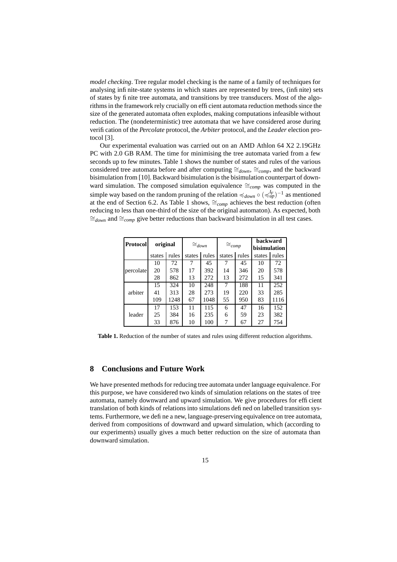*model checking*. Tree regular model checking is the name of a family of techniques for analysing infinite-state systems in which states are represented by trees, (infinite) sets of states by finite tree automata, and transitions by tree transducers. Most of the algorithms in the framework rely crucially on efficient automata reduction methods since the size of the generated automata often explodes, making computations infeasible without reduction. The (nondeterministic) tree automata that we have considered arose during verification of the *Percolate* protocol, the *Arbiter* protocol, and the *Leader* election protocol [3].

Our experimental evaluation was carried out on an AMD Athlon 64 X2 2.19GHz PC with 2.0 GB RAM. The time for minimising the tree automata varied from a few seconds up to few minutes. Table 1 shows the number of states and rules of the various considered tree automata before and after computing  $\cong_{down}$ ,  $\cong_{comp}$ , and the backward bisimulation from [10]. Backward bisimulation is the bisimulation counterpart of downward simulation. The composed simulation equivalence  $\cong_{comp}$  was computed in the simple way based on the random pruning of the relation  $\preccurlyeq_{down}^{\{F\}} \preccurlyeq_{up}^{\{F\}}^{-1}$  as mentioned at the end of Section 6.2. As Table 1 shows, ≅<sub>*comp*</sub> achieves the best reduction (often reducing to less than one-third of the size of the original automaton). As expected, both ∼=*down* and ∼=*comp* give better reductions than backward bisimulation in all test cases.

| <b>Protocol</b> | original |       | $\cong$ <sub>down</sub> |       | $\cong_{comp}$ |       | backward<br>bisimulation |       |
|-----------------|----------|-------|-------------------------|-------|----------------|-------|--------------------------|-------|
|                 | states   | rules | states                  | rules | states         | rules | states                   | rules |
| percolate       | 10       | 72    |                         | 45    |                | 45    | 10                       | 72    |
|                 | 20       | 578   | 17                      | 392   | 14             | 346   | 20                       | 578   |
|                 | 28       | 862   | 13                      | 272   | 13             | 272   | 15                       | 341   |
| arbiter         | 15       | 324   | 10                      | 248   |                | 188   | 11                       | 252   |
|                 | 41       | 313   | 28                      | 273   | 19             | 220   | 33                       | 285   |
|                 | 109      | 1248  | 67                      | 1048  | 55             | 950   | 83                       | 1116  |
| leader          | 17       | 153   | 11                      | 115   | 6              | 47    | 16                       | 152   |
|                 | 25       | 384   | 16                      | 235   | 6              | 59    | 23                       | 382   |
|                 | 33       | 876   | 10                      | 100   | 7              | 67    | 27                       | 754   |

**Table 1.** Reduction of the number of states and rules using different reduction algorithms.

# **8 Conclusions and Future Work**

We have presented methods for reducing tree automata under language equivalence. For this purpose, we have considered two kinds of simulation relations on the states of tree automata, namely downward and upward simulation. We give procedures for efficient translation of both kinds of relations into simulations defined on labelled transition systems. Furthermore, we define a new, language-preserving equivalence on tree automata, derived from compositions of downward and upward simulation, which (according to our experiments) usually gives a much better reduction on the size of automata than downward simulation.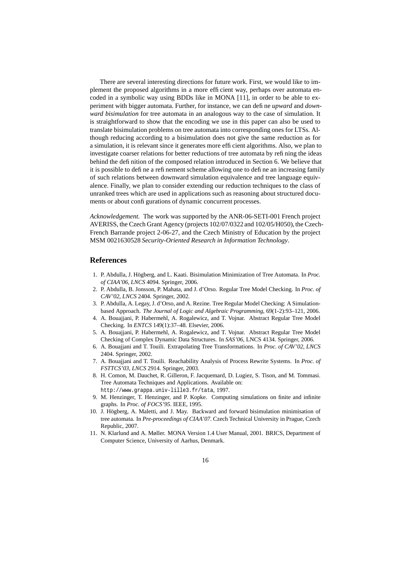There are several interesting directions for future work. First, we would like to implement the proposed algorithms in a more efficient way, perhaps over automata encoded in a symbolic way using BDDs like in MONA [11], in order to be able to experiment with bigger automata. Further, for instance, we can define *upward* and *downward bisimulation* for tree automata in an analogous way to the case of simulation. It is straightforward to show that the encoding we use in this paper can also be used to translate bisimulation problems on tree automata into corresponding ones for LTSs. Although reducing according to a bisimulation does not give the same reduction as for a simulation, it is relevant since it generates more efficient algorithms. Also, we plan to investigate coarser relations for better reductions of tree automata by refining the ideas behind the definition of the composed relation introduced in Section 6. We believe that it is possible to define a refinement scheme allowing one to define an increasing family of such relations between downward simulation equivalence and tree language equivalence. Finally, we plan to consider extending our reduction techniques to the class of unranked trees which are used in applications such as reasoning about structured documents or about configurations of dynamic concurrent processes.

*Acknowledgement.* The work was supported by the ANR-06-SETI-001 French project AVERISS, the Czech Grant Agency (projects 102/07/0322 and 102/05/H050), the Czech-French Barrande project 2-06-27, and the Czech Ministry of Education by the project MSM 0021630528 *Security-Oriented Research in Information Technology*.

# **References**

- 1. P. Abdulla, J. Högberg, and L. Kaati. Bisimulation Minimization of Tree Automata. In *Proc. of CIAA'06*, *LNCS* 4094. Springer, 2006.
- 2. P. Abdulla, B. Jonsson, P. Mahata, and J. d'Orso. Regular Tree Model Checking. In *Proc. of CAV'02*, *LNCS* 2404. Springer, 2002.
- 3. P. Abdulla, A. Legay, J. d'Orso, and A. Rezine. Tree Regular Model Checking: A Simulationbased Approach. *The Journal of Logic and Algebraic Programming*, 69(1-2):93–121, 2006.
- 4. A. Bouajjani, P. Habermehl, A. Rogalewicz, and T. Vojnar. Abstract Regular Tree Model Checking. In *ENTCS* 149(1):37–48. Elsevier, 2006.
- 5. A. Bouajjani, P. Habermehl, A. Rogalewicz, and T. Vojnar. Abstract Regular Tree Model Checking of Complex Dynamic Data Structures. In *SAS'06*, LNCS 4134. Springer, 2006.
- 6. A. Bouajjani and T. Touili. Extrapolating Tree Transformations. In *Proc. of CAV'02*, *LNCS* 2404. Springer, 2002.
- 7. A. Bouajjani and T. Touili. Reachability Analysis of Process Rewrite Systems. In *Proc. of FSTTCS'03*, *LNCS* 2914. Springer, 2003.
- 8. H. Comon, M. Dauchet, R. Gilleron, F. Jacquemard, D. Lugiez, S. Tison, and M. Tommasi. Tree Automata Techniques and Applications. Available on: http://www.grappa.univ-lille3.fr/tata, 1997.
- 9. M. Henzinger, T. Henzinger, and P. Kopke. Computing simulations on finite and infinite graphs. In *Proc. of FOCS'95*. IEEE, 1995.
- 10. J. Högberg, A. Maletti, and J. May. Backward and forward bisimulation minimisation of tree automata. In *Pre-proceedings of CIAA'07*. Czech Technical University in Prague, Czech Republic, 2007.
- 11. N. Klarlund and A. Møller. MONA Version 1.4 User Manual, 2001. BRICS, Department of Computer Science, University of Aarhus, Denmark.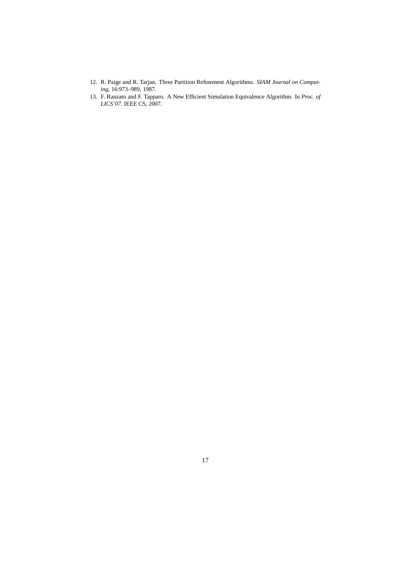- 12. R. Paige and R. Tarjan. Three Partition Refinement Algorithms. *SIAM Journal on Computing*, 16:973–989, 1987.
- 13. F. Ranzato and F. Tapparo. A New Efficient Simulation Equivalence Algorithm. In *Proc. of LICS'07*. IEEE CS, 2007.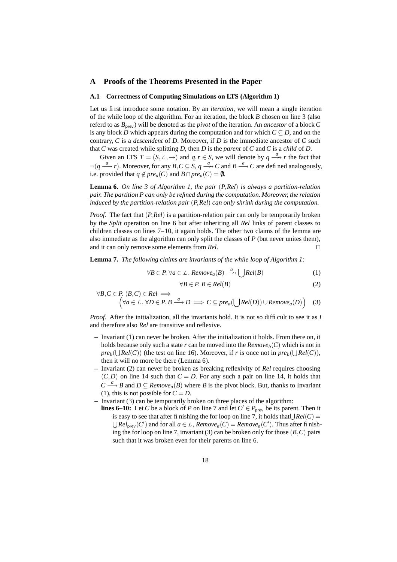# **A Proofs of the Theorems Presented in the Paper**

# **A.1 Correctness of Computing Simulations on LTS (Algorithm 1)**

Let us first introduce some notation. By an *iteration*, we will mean a single iteration of the while loop of the algorithm. For an iteration, the block *B* chosen on line 3 (also referd to as *B*prev) will be denoted as the *pivot* of the iteration. An *ancestor* of a block *C* is any block *D* which appears during the computation and for which  $C \subseteq D$ , and on the contrary, *C* is a *descendent* of *D*. Moreover, if *D* is the immediate ancestor of *C* such that *C* was created while splitting *D*, then *D* is the *parent* of *C* and *C* is a *child* of *D*.

Given an LTS  $T = (S, L, \rightarrow)$  and  $q, r \in S$ , we will denote by  $q \stackrel{a}{\longrightarrow} r$  the fact that  $\neg(q \stackrel{a}{\longrightarrow} r)$ . Moreover, for any  $B, C \subseteq S, q \stackrel{a}{\longrightarrow} C$  and  $B \stackrel{a}{\longrightarrow} C$  are defined analogously, i.e. provided that  $q \notin pre_a(C)$  and  $B \cap pre_a(C) = \emptyset$ .

**Lemma 6.** *On line 3 of Algorithm 1, the pair* (*P*,*Rel*) *is always a partition-relation pair. The partition P can only be refined during the computation. Moreover, the relation induced by the partition-relation pair* (*P*,*Rel*) *can only shrink during the computation.*

*Proof.* The fact that (*P*,*Rel*) is a partition-relation pair can only be temporarily broken by the *Split* operation on line 6 but after inheriting all *Rel* links of parent classes to children classes on lines 7–10, it again holds. The other two claims of the lemma are also immediate as the algorithm can only split the classes of *P* (but never unites them), and it can only remove some elements from  $Rel$ .

**Lemma 7.** *The following claims are invariants of the while loop of Algorithm 1:*

$$
\forall B \in P. \ \forall a \in \mathcal{L}. \ Remove_a(B) \xrightarrow{a} \bigcup Rel(B)
$$
 (1)

$$
\forall B \in P. \ B \in Rel(B) \tag{2}
$$

$$
\forall B, C \in P. (B, C) \in Rel \implies (\forall a \in \mathcal{L} \cdot \forall D \in P. B \stackrel{a}{\longrightarrow} D \implies C \subseteq pre_a(\bigcup Rel(D)) \cup Remove_a(D)) \quad (3)
$$

*Proof.* After the initialization, all the invariants hold. It is not so difficult to see it as *I* and therefore also *Rel* are transitive and reflexive.

- **–** Invariant (1) can never be broken. After the initialization it holds. From there on, it holds because only such a state r can be moved into the  $Remove_b(C)$  which is not in  $pre_b(\bigcup Rel(C))$  (the test on line 16). Moreover, if *r* is once not in  $pre_b(\bigcup Rel(C))$ , then it will no more be there (Lemma 6).
- **–** Invariant (2) can never be broken as breaking reflexivity of *Rel* requires choosing  $(C,D)$  on line 14 such that  $C = D$ . For any such a pair on line 14, it holds that *C*  $\stackrel{a}{\longrightarrow}$  *B* and *D* ⊆ *Remove<sub>a</sub>*(*B*) where *B* is the pivot block. But, thanks to Invariant (1), this is not possible for  $C = D$ .
- **–** Invariant (3) can be temporarily broken on three places of the algorithm:
	- **lines 6–10:** Let *C* be a block of *P* on line 7 and let  $C' \in P_{prev}$  be its parent. Then it is easy to see that after finishing the for loop on line 7, it holds that  $\bigcup Rel(C)$  =  $\bigcup Rel_{\text{prev}}(C')$  and for all  $a \in \mathcal{L}$ ,  $Remove_a(C) = Remove_a(C')$ . Thus after finishing the for loop on line 7, invariant (3) can be broken only for those (*B*,*C*) pairs such that it was broken even for their parents on line 6.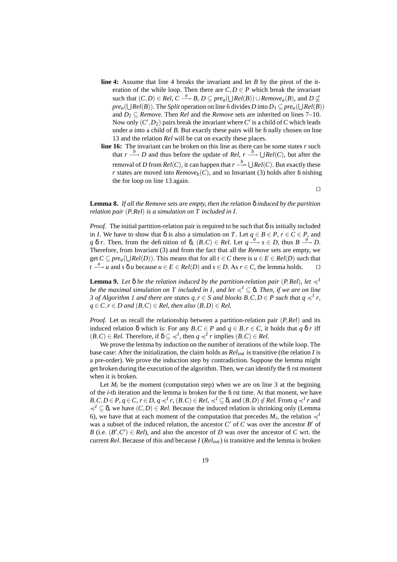- **line 4:** Assume that line 4 breaks the invariant and let *B* by the pivot of the iteration of the while loop. Then there are  $C, D \in P$  which break the invariant such that  $(C, D) \in Rel, C \stackrel{a}{\longrightarrow} B, D \subseteq pre_a(\bigcup Rel(B)) \cup Remove_a(B),$  and  $D \nsubseteq$  $pre_a(\bigcup Rel(B))$ . The *Split* operation on line 6 divides *D* into  $D_1 \subseteq pre_a(\bigcup Rel(B))$ and  $D_2 \subseteq$  *Remove*. Then *Rel* and the *Remove* sets are inherited on lines 7–10. Now only  $(C', D_2)$  pairs break the invariant where  $C'$  is a child of  $C$  which leads under *a* into a child of *B*. But exactly these pairs will be finally chosen on line 13 and the relation *Rel* will be cut on exactly these places.
- **line 16:** The invariant can be broken on this line as there can be some states *r* such that  $r \stackrel{b}{\longrightarrow} D$  and thus before the update of *Rel*,  $r \stackrel{b}{\longrightarrow} \bigcup Rel(C)$ , but after the removal of *D* from  $Rel(C)$ , it can happen that  $r \stackrel{b}{\longrightarrow} \bigcup Rel(C)$ . But exactly these *r* states are moved into *Remove<sub>b</sub>*(*C*), and so Invariant (3) holds after finishing the for loop on line 13 again.

 $\Box$ 

# **Lemma 8.** *If all the Remove sets are empty, then the relation* δ *induced by the partition relation pair* (*P*,*Rel*) *is a simulation on T included in I.*

*Proof.* The initial partition-relation pair is required to be such that  $\delta$  is initially included in *I*. We have to show that  $\delta$  is also a simulation on *T*. Let  $q \in B \in P$ ,  $r \in C \in P$ , and *q*  $\delta$  *r*. Then, from the definition of  $\delta$ ,  $(B,C) \in Rel$ . Let  $q \xrightarrow{a} s \in D$ , thus  $B \xrightarrow{a} D$ . Therefore, from Invariant (3) and from the fact that all the *Remove* sets are empty, we get  $C \subseteq pre_a(\bigcup Rel(D))$ . This means that for all  $t \in C$  there is  $u \in E \in Rel(D)$  such that  $t \stackrel{a}{\longrightarrow} u$  and  $s \delta u$  because  $u \in E \in Rel(D)$  and  $s \in D$ . As  $r \in C$ , the lemma holds.  $\Box$ 

**Lemma 9.** Let  $\delta$  be the relation induced by the partition-relation pair (P,Rel), let  $\leq$ <sup>*I*</sup> *be the maximal simulation on T included in I*, *and let*  $\leq$ <sup>*I*</sup>  $\subset$  *δ. Then, if we are on line* 3 of Algorithm 1 and there are states  $q, r \in S$  and blocks  $B, C, D \in P$  such that  $q \preccurlyeq^l r$ ,  $q \in C, r \in D$  *and*  $(B, C) \in Rel$ , *then also*  $(B, D) \in Rel$ .

*Proof.* Let us recall the relationship between a partition-relation pair (*P*,*Rel*) and its induced relation  $\delta$  which is: For any  $B, C \in P$  and  $q \in B, r \in C$ , it holds that  $q \delta r$  iff  $(B, C) \in Rel$ . Therefore, if  $\delta \subseteq \preccurlyeq^I$ , then  $q \preccurlyeq^I r$  implies  $(B, C) \in Rel$ .

We prove the lemma by induction on the number of iterations of the while loop. The base case: After the initialization, the claim holds as *Relinit* is transitive (the relation *I* is a pre-order). We prove the induction step by contradiction. Suppose the lemma might get broken during the execution of the algorithm. Then, we can identify the first moment when it is broken.

Let  $M_i$  be the moment (computation step) when we are on line 3 at the begining of the *i*-th iteration and the lemma is broken for the first time. At that monent, we have  $B,C,D\in P, q\in C, r\in D, q\preccurlyeq^l r, (B,C)\in Rel, \preccurlyeq^l\subseteq \delta,$  and  $(B,D)\not\in Rel.$  From  $q\preccurlyeq^l r$  and  $\preccurlyeq^I \subseteq \delta$ , we have  $(C,D) \in Rel$ . Because the induced relation is shrinking only (Lemma 6), we have that at each moment of the computation that precedes  $M_i$ , the relation  $\preccurlyeq$ <sup>*I*</sup> was a subset of the induced relation, the ancestor  $C'$  of  $C$  was over the ancestor  $B'$  of *B* (i.e.  $(B', C') \in Rel$ ), and also the ancestor of *D* was over the ancestor of *C* wrt. the current *Rel*. Because of this and because *I* (*Relinit*) is transitive and the lemma is broken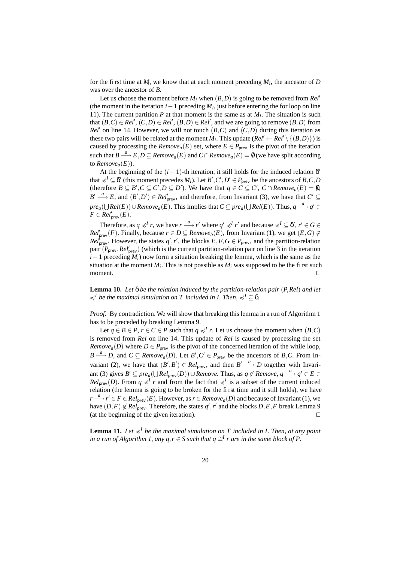for the first time at *M<sup>i</sup>* , we know that at each moment preceding *M<sup>i</sup>* , the ancestor of *D* was over the ancestor of *B*.

Let us choose the moment before  $M_i$  when  $(B, D)$  is going to be removed from  $Re l'$ (the moment in the iteration *i*−1 preceding *M<sup>i</sup>* , just before entering the for loop on line 11). The current partition  $P$  at that moment is the same as at  $M_i$ . The situation is such that  $(B,C) \in Rel'$ ,  $(C,D) \in Rel'$ ,  $(B,D) \in Rel'$ , and we are going to remove  $(B,D)$  from  $Re l'$  on line 14. However, we will not touch  $(B, C)$  and  $(C, D)$  during this iteration as these two pairs will be related at the moment *M*<sub>*i*</sub>. This update  $(Rel' \leftarrow Rel' \setminus \{(B,D)\})$  is caused by processing the  $Remove_a(E)$  set, where  $E \in P_{prev}$  is the pivot of the iteration such that  $B \stackrel{a}{\longrightarrow} E$ ,  $D \subseteq$  *Remove*<sub>*a*</sub>(*E*) and *C*∩*Remove*<sub>*a*</sub>(*E*) = 0 (we have split according to  $Remove_a(E)$ ).

At the beginning of the  $(i - 1)$ -th iteration, it still holds for the induced relation  $\delta'$ that  $\preccurlyeq^I \subseteq \delta'$  (this moment precedes *Mi*). Let  $B', C', D' \in P_{\text{prev}}$  be the ancestors of  $B, C, D$ (therefore  $B \subseteq B'$ ,  $C \subseteq C'$ ,  $D \subseteq D'$ ). We have that  $q \in C \subseteq C'$ ,  $C \cap Remove_q(E) = \emptyset$ ,  $B' \stackrel{a}{\longrightarrow} E$ , and  $(B', D') \in Rel'_{prev}$ , and therefore, from Invariant (3), we have that  $C' \subseteq$ *pre*<sub>a</sub>( $\bigcup$ *Rel*(*E*))∪*Remove*<sub>a</sub>(*E*). This implies that *C* ⊆ *pre*<sub>a</sub>( $\bigcup$ *Rel*(*E*)). Thus, *q*  $\stackrel{a}{\longrightarrow}$  *q*' ∈  $F \in Rel'_{\text{prev}}(E)$ .

Therefore, as  $q \preccurlyeq^l r$ , we have  $r \stackrel{a}{\longrightarrow} r'$  where  $q' \preccurlyeq^l r'$  and because  $\preccurlyeq^l \subseteq \delta', r' \in G \in$  $Re l'_{\text{prev}}(F)$ . Finally, because  $r \in D \subseteq$  *Remove*<sub>*b*</sub>(*E*), from Invariant (1), we get (*E*, *G*)  $\notin$  $Rel_{\text{prev}}^{\prime}$ . However, the states  $q^{\prime}, r^{\prime}$ , the blocks  $E, F, G \in P_{\text{prev}}$ , and the partition-relation pair ( $P_{\text{prev}}, Re l'_{\text{prev}}$ ) (which is the current partition-relation pair on line 3 in the iteration *i*−1 preceding *M<sub>i</sub>*) now form a situation breaking the lemma, which is the same as the situation at the moment  $M_i$ . This is not possible as  $M_i$  was supposed to be the first such moment.  $\Box$ 

**Lemma 10.** *Let* δ *be the relation induced by the partition-relation pair* (*P*,*Rel*) *and let*  $\leq$ <sup>*I*</sup> be the maximal simulation on *T* included in *I*. Then,  $\le$ <sup>*I*</sup>  $\subseteq$   $\delta$ .

*Proof.* By contradiction. We will show that breaking this lemma in a run of Algorithm 1 has to be preceded by breaking Lemma 9.

Let  $q \in B \in P$ ,  $r \in C \in P$  such that  $q \preccurlyeq^l r$ . Let us choose the moment when  $(B, C)$ is removed from *Rel* on line 14. This update of *Rel* is caused by processing the set *Remove<sub>a</sub>*(*D*) where  $D \in P_{prev}$  is the pivot of the concerned iteration of the while loop, *B*  $\stackrel{a}{\longrightarrow}$  *D*, and *C* ⊆ *Remove*<sub>*a*</sub>(*D*). Let *B*<sup>*'*</sup>, *C'* ∈ *P*<sub>prev</sub> be the ancestors of *B*, *C*. From Invariant (2), we have that  $(B', B') \in Rel_{prev}$ , and then  $B' \xrightarrow{a} D$  together with Invariant (3) gives  $B' \subseteq pre_a(\bigcup Rel_{prev}(D)) \cup Remove$ . Thus, as  $q \notin Remove$ ,  $q \stackrel{a}{\longrightarrow} q' \in E \in$ *Rel*<sub>prev</sub>(*D*). From  $q \preccurlyeq^I r$  and from the fact that  $\preccurlyeq^I$  is a subset of the current induced relation (the lemma is going to be broken for the first time and it still holds), we have  $r \xrightarrow{a} r' \in F \in Rel_{prev}(E)$ . However, as  $r \in Remove_a(D)$  and because of Invariant (1), we have  $(D, F) \notin Rel_{prev}$ . Therefore, the states  $q', r'$  and the blocks  $D, E, F$  break Lemma 9 (at the beginning of the given iteration).  $\Box$ 

**Lemma 11.** Let  $\leq^{I}$  be the maximal simulation on T included in I. Then, at any point in a run of Algorithm 1, any  $q,r\in S$  such that  $q\cong^I r$  are in the same block of P.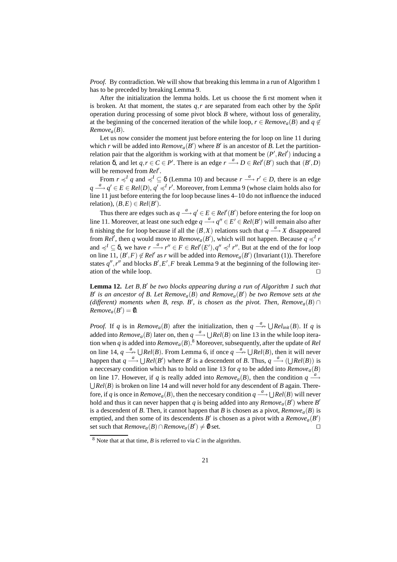*Proof.* By contradiction. We will show that breaking this lemma in a run of Algorithm 1 has to be preceded by breaking Lemma 9.

After the initialization the lemma holds. Let us choose the first moment when it is broken. At that moment, the states *q*,*r* are separated from each other by the *Split* operation during processing of some pivot block *B* where, without loss of generality, at the beginning of the concerned iteration of the while loop,  $r \in Remove_a(B)$  and  $q \notin$  $Remove<sub>a</sub>(B)$ .

Let us now consider the moment just before entering the for loop on line 11 during which *r* will be added into  $Remove_a(B')$  where  $B'$  is an ancestor of *B*. Let the partitionrelation pair that the algorithm is working with at that moment be  $(P', Re l')$  inducing a relation  $\delta$ , and let  $q, r \in C \in P'$ . There is an edge  $r \stackrel{a}{\longrightarrow} D \in Rel'(B')$  such that  $(B', D)$ will be removed from Rel'.

From  $r \preccurlyeq^l q$  and  $\preccurlyeq^l \subseteq \delta$  (Lemma 10) and because  $r \stackrel{a}{\longrightarrow} r' \in D$ , there is an edge  $q \stackrel{a}{\longrightarrow} q' \in E \in Rel(D), q' \preccurlyeq^l r'.$  Moreover, from Lemma 9 (whose claim holds also for line 11 just before entering the for loop because lines 4–10 do not influence the induced relation),  $(B, E) \in Rel(B')$ .

Thus there are edges such as  $q \stackrel{a}{\longrightarrow} q' \in E \in Rel'(B')$  before entering the for loop on line 11. Moreover, at least one such edge  $q \stackrel{a}{\longrightarrow} q'' \in E' \in Rel(B')$  will remain also after finishing the for loop because if all the  $(B, X)$  relations such that  $q \stackrel{a}{\longrightarrow} X$  disappeared from *Rel'*, then *q* would move to *Remove<sub>a</sub>*(*B'*), which will not happen. Because  $q \preccurlyeq^I r$ and  $\preccurlyeq^l$   $\subseteq$   $\delta$ , we have  $r \stackrel{a}{\longrightarrow} r'' \in F \in \text{Rel}'(E'), q'' \preccurlyeq^l r''$ . But at the end of the for loop on line 11,  $(B', F) \notin Rel'$  as *r* will be added into  $Remove_a(B')$  (Invariant (1)). Therefore states  $q''$ ,  $r''$  and blocks  $B'$ ,  $E'$ ,  $F$  break Lemma 9 at the beginning of the following iteration of the while loop.  $\Box$ 

**Lemma 12.** *Let B*,*B* <sup>0</sup> *be two blocks appearing during a run of Algorithm 1 such that*  $B'$  *is an ancestor of*  $B$ *. Let*  $Remove<sub>a</sub>(B)$  *and*  $Remove<sub>a</sub>(B')$  *be two*  $Remove<sub>s</sub>$ *ets at the*  $(differential)$  *moments* when *B*, *resp. B*<sup> $l$ </sup>, *is chosen as the pivot. Then, Remove*<sub>*a*</sub> $(B)$   $\cap$  $Remove<sub>a</sub>(B') = \emptyset$ .

*Proof.* If *q* is in *Remove<sub>a</sub>*(*B*) after the initialization, then  $q \stackrel{a}{\longrightarrow} \bigcup Rel_{init}(B)$ . If *q* is added into *Remove*<sub>*a*</sub>(*B*) later on, then  $q \stackrel{a}{\longrightarrow} \bigcup Rel(B)$  on line 13 in the while loop iteration when *q* is added into *Removea*(*B*). <sup>8</sup> Moreover,subsequently, after the update of *Rel* on line 14,  $q \stackrel{a}{\longrightarrow} \bigcup Rel(B)$ . From Lemma 6, if once  $q \stackrel{a}{\longrightarrow} \bigcup Rel(B)$ , then it will never happen that  $q \stackrel{a}{\longrightarrow} \bigcup Rel(B')$  where *B'* is a descendent of *B*. Thus,  $q \stackrel{a}{\longrightarrow} (\bigcup Rel(B))$  is a neccesary condition which has to hold on line 13 for *q* to be added into  $Remove_a(B)$ on line 17. However, if *q* is really added into *Remove*<sub>*a*</sub>(*B*), then the condition  $q \stackrel{a}{\longrightarrow}$  $\bigcup$ *Rel*(*B*) is broken on line 14 and will never hold for any descendent of *B* again. Therefore, if *q* is once in  $Remove_a(B)$ , then the neccesary condition  $q \stackrel{a}{\longrightarrow} \bigcup Rel(B)$  will never hold and thus it can never happen that *q* is being added into any  $Remove_a(B')$  where  $B'$ is a descendent of *B*. Then, it cannot happen that *B* is chosen as a pivot,  $Remove<sub>a</sub>(B)$  is emptied, and then some of its descendents  $B'$  is chosen as a pivot with a  $Remove<sub>a</sub>(B')$ set such that  $Remove_a(B) \cap Remove_a(B') \neq 0$  set.  $□$ 

<sup>&</sup>lt;sup>8</sup> Note that at that time, *B* is referred to via *C* in the algorithm.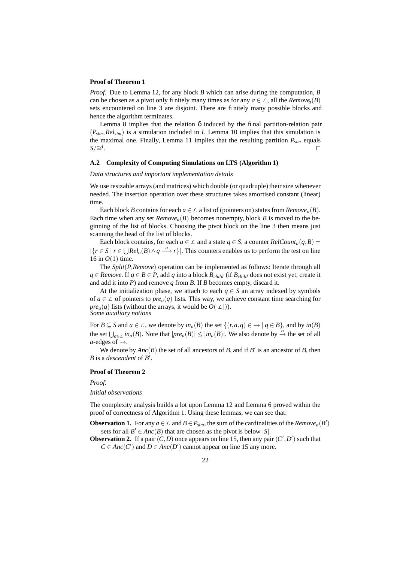#### **Proof of Theorem 1**

*Proof.* Due to Lemma 12, for any block *B* which can arise during the computation, *B* can be chosen as a pivot only finitely many times as for any  $a \in L$ , all the *Remove*<sub>*a*</sub>(*B*) sets encountered on line 3 are disjoint. There are finitely many possible blocks and hence the algorithm terminates.

Lemma 8 implies that the relation  $\delta$  induced by the final partition-relation pair (*Psim*,*Relsim*) is a simulation included in *I*. Lemma 10 implies that this simulation is the maximal one. Finally, Lemma 11 implies that the resulting partition *Psim* equals  $S/$ ≅<sup>*I*</sup> . Turkiya ta 1980-yil bir turkiya ta 1980-yil bir turkiya ta 1980-yil bir turkiya ta 1980-yil bir turkiya ta 1

# **A.2 Complexity of Computing Simulations on LTS (Algorithm 1)**

# *Data structures and important implementation details*

We use resizable arrays (and matrices) which double (or quadruple) their size whenever needed. The insertion operation over these structures takes amortised constant (linear) time.

Each block *B* contains for each  $a \in L$  a list of (pointers on) states from  $Remove_a(B)$ . Each time when any set  $Remove_a(B)$  becomes nonempty, block *B* is moved to the beginning of the list of blocks. Choosing the pivot block on the line 3 then means just scanning the head of the list of blocks.

Each block contains, for each  $a \in L$  and a state  $q \in S$ , a counter  $RelCount_a(q, B)$  $|\{r \in S \mid r \in \bigcup Rel_a(B) \land q \stackrel{a}{\longrightarrow} r\}|$ . This counters enables us to perform the test on line 16 in *O*(1) time.

The *Split*(*P*,*Remove*) operation can be implemented as follows: Iterate through all *q* ∈ *Remove*. If *q* ∈ *B* ∈ *P*, add *q* into a block *B*<sub>*child*</sub> (if *B*<sub>*child*</sub> does not exist yet, create it and add it into *P*) and remove *q* from *B*. If *B* becomes empty, discard it.

At the initialization phase, we attach to each  $q \in S$  an array indexed by symbols of  $a \in L$  of pointers to *pre*<sub>*a*</sub>(*q*) lists. This way, we achieve constant time searching for *pre*<sub>*a*</sub>(*q*) lists (without the arrays, it would be  $O(|L|)$ ). *Some auxiliary notions*

For  $B \subseteq S$  and  $a \in L$ , we denote by  $in_a(B)$  the set  $\{(r, a, q) \in \rightarrow | q \in B\}$ , and by  $in(B)$ the set  $\bigcup_{a \in L} in_a(B)$ . Note that  $|pre_a(B)| \leq |in_a(B)|$ . We also denote by  $\stackrel{a}{\to}$  the set of all *a*-edges of  $\rightarrow$ .

We denote by  $Anc(B)$  the set of all ancestors of *B*, and if  $B'$  is an ancestor of *B*, then *B* is a *descendent* of *B*<sup>'</sup>.

# **Proof of Theorem 2**

*Proof.*

*Initial observations*

The complexity analysis builds a lot upon Lemma 12 and Lemma 6 proved within the proof of correctness of Algorithm 1. Using these lemmas, we can see that:

**Observation 1.** For any  $a \in \mathcal{L}$  and  $B \in P_{sim}$ , the sum of the cardinalities of the *Remove*<sub>*a*</sub>(*B*<sup>*'*</sup>) sets for all  $B' \in Anc(B)$  that are chosen as the pivot is below  $|S|$ .

**Observation 2.** If a pair  $(C, D)$  once appears on line 15, then any pair  $(C', D')$  such that  $C \in \text{Anc}(C')$  and  $D \in \text{Anc}(D')$  cannot appear on line 15 any more.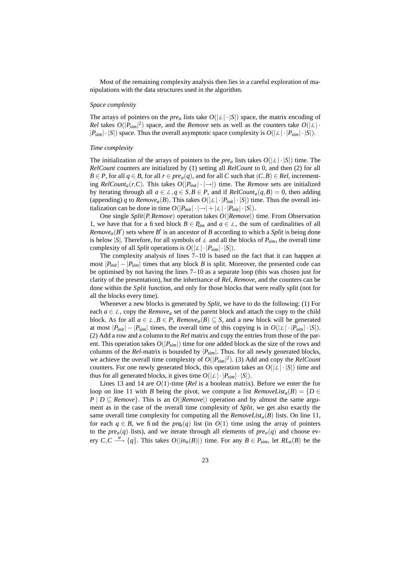Most of the remaining complexity analysis then lies in a careful exploration of manipulations with the data structures used in the algorithm.

#### *Space complexity*

The arrays of pointers on the *pre<sub>a</sub>* lists take  $O(|L| \cdot |S|)$  space, the matrix encoding of *Rel* takes  $O(|P_{sim}|^2)$  space, and the *Remove* sets as well as the counters take  $O(|\mathcal{L}| \cdot$  $|P_{sim}| \cdot |S|$  space. Thus the overall asymptotic space complexity is  $O(|\mathcal{L}| \cdot |P_{sim}| \cdot |S|)$ .

#### *Time complexity*

The initialization of the arrays of pointers to the  $pre_a$  lists takes  $O(|L| \cdot |S|)$  time. The *RelCount* counters are initialized by (1) setting all *RelCount* to 0, and then (2) for all *B* ∈ *P*, for all *q* ∈ *B*, for all *r* ∈ *pre*<sub>*a*</sub>(*q*), and for all *C* such that  $(C, B) \in Rel$ , incrementing *RelCount<sub>a</sub>*(*r*,*C*). This takes  $O(|P_{init}| \cdot | \rightarrow |)$  time. The *Remove* sets are initialized by iterating through all  $a \in L$ ,  $q \in S$ ,  $B \in P$ , and if  $RelCount_a(q, B) = 0$ , then adding (appending) *q* to *Remove<sub>a</sub>*(*B*). This takes  $O(|\mathcal{L}| \cdot |P_{init}| \cdot |S|)$  time. Thus the overall initialization can be done in time  $O(|P_{init}| \cdot |\rightarrow | + | \mathcal{L}| \cdot |P_{init}| \cdot |S|)$ .

One single *Split*(*P*,*Remove*) operation takes *O*(|*Remove*|) time. From Observation 1, we have that for a fixed block  $B \in P_{\text{sim}}$  and  $a \in \mathcal{L}$ , the sum of cardinalities of all *Remove<sub>a</sub>*( $B'$ ) sets where  $B'$  is an ancestor of  $B$  according to which a *Split* is being done is below |*S*|. Therefore, for all symbols of  $\mathcal{L}$  and all the blocks of  $P_{sim}$ , the overall time complexity of all *Split* operations is  $O(|\mathcal{L}| \cdot |P_{sim}| \cdot |S|)$ .

The complexity analysis of lines 7–10 is based on the fact that it can happen at most  $|P_{init}| - |P_{sim}|$  times that any block *B* is split. Moreover, the presented code can be optimised by not having the lines 7–10 as a separate loop (this was chosen just for clarity of the presentation), but the inheritance of *Rel*, *Remove*, and the counters can be done within the *Split* function, and only for those blocks that were really split (not for all the blocks every time).

Whenever a new blocks is generated by *Split*, we have to do the following: (1) For each  $a \in L$ , copy the *Remove*<sub>*a*</sub> set of the parent block and attach the copy to the child block. As for all  $a \in L$ ,  $B \in P$ , *Remove<sub>a</sub>*( $B$ )  $\subseteq S$ , and a new block will be generated at most  $|P_{init}| - |P_{sim}|$  times, the overall time of this copying is in  $O(|\mathcal{L}| \cdot |P_{sim}| \cdot |S|)$ . (2) Add a row and a column to the *Rel* matrix and copy the entries from those of the parent. This operation takes  $O(|P_{sim}|)$  time for one added block as the size of the rows and columns of the *Rel*-matrix is bounded by  $|P_{sim}|$ . Thus. for all newly generated blocks, we achieve the overall time complexity of  $O(|P_{sim}|^2)$ . (3) Add and copy the *RelCount* counters. For one newly generated block, this operation takes an  $O(|\mathcal{L}| \cdot |S|)$  time and thus for all generated blocks, it gives time  $O(|\mathcal{L}| \cdot |P_{sim}| \cdot |S|)$ .

Lines 13 and 14 are *O*(1)-time (*Rel* is a boolean matrix). Before we enter the for loop on line 11 with *B* being the pivot, we compute a list *RemoveList<sub>a</sub>*(*B*) = {*D* ∈  $P \mid D \subseteq$  *Remove*}. This is an  $O(|$ *Remove* $|)$  operation and by almost the same argument as in the case of the overall time complexity of *Split*, we get also exactly the same overall time complexity for computing all the *RemoveList<sub>a</sub>*( $B$ ) lists. On line 11, for each  $q \in B$ , we find the *pre*<sub>*a*</sub>(*q*) list (in *O*(1) time using the array of pointers to the  $pre_a(q)$  lists), and we iterate through all elements of  $pre_a(q)$  and choose every  $C, C \stackrel{a}{\longrightarrow} \{q\}$ . This takes  $O(|in_a(B)|)$  time. For any  $B \in P_{sim}$ , let  $RL_a(B)$  be the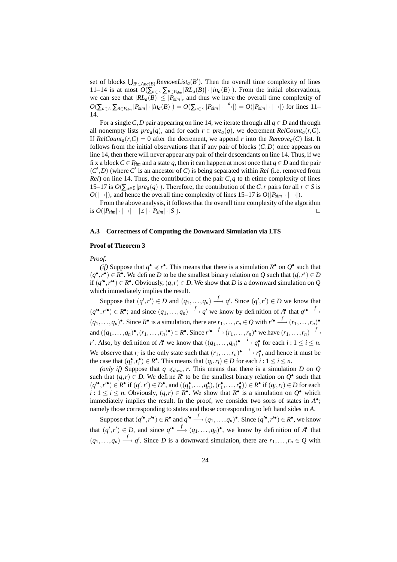set of blocks  $\bigcup_{B' \in \text{Anc}(B)} \text{RemoveList}_a(B')$ . Then the overall time complexity of lines 11–14 is at most  $O(\sum_{a \in L} \sum_{B \in P_{sim}} |RL_a(B)| \cdot |in_a(B)|)$ . From the initial observations, we can see that  $|RL_a(B)| \leq |P_{sim}|$ , and thus we have the overall time complexity of  $O(\sum_{a \in \mathcal{L}} \sum_{B \in P_{sim}} |P_{sim}| \cdot |in_a(B)|) = O(\sum_{a \in \mathcal{L}} |P_{sim}| \cdot |\stackrel{a}{\rightarrow}|) = O(|P_{sim}| \cdot |\rightarrow|)$  for lines 11-14.

For a single *C*,*D* pair appearing on line 14, we iterate through all  $q \in D$  and through all nonempty lists  $pre_a(q)$ , and for each  $r \in pre_a(q)$ , we decrement  $RelCount_a(r, C)$ . If *RelCount<sub>a</sub>*( $r$ ,*C*) = 0 after the decrement, we append *r* into the *Remove<sub>a</sub>*(*C*) list. It follows from the initial observations that if any pair of blocks (*C*,*D*) once appears on line 14, then there will never appear any pair of their descendants on line 14. Thus, if we fix a block  $C \in P_{\text{sim}}$  and a state q, then it can happen at most once that  $q \in D$  and the pair  $(C', D)$  (where  $C'$  is an ancestor of  $C$ ) is being separated within *Rel* (i.e. removed from *Rel*) on line 14. Thus, the contribution of the pair  $C, q$  to the time complexity of lines 15–17 is  $O(\sum_{a \in \Sigma} |pre_a(q)|)$ . Therefore, the contribution of the *C*, *r* pairs for all *r* ∈ *S* is  $O(|\rightarrow|)$ , and hence the overall time complexity of lines 15–17 is  $O(|P_{sim}| \cdot |\rightarrow|)$ .

From the above analysis, it follows that the overall time complexity of the algorithm is  $O(|P_{sim}| \cdot |-| \leq | \cdot |P_{sim}| \cdot |S|)$ .

# **A.3 Correctness of Computing the Downward Simulation via LTS**

# **Proof of Theorem 3**

# *Proof.*

*(if)* Suppose that  $q^{\bullet} \preccurlyeq r^{\bullet}$ . This means that there is a simulation  $R^{\bullet}$  on  $Q^{\bullet}$  such that  $(q^{\bullet}, r^{\bullet}) \in R^{\bullet}$ . We define *D* to be the smallest binary relation on *Q* such that  $(q, r') \in D$ if  $(q^{\prime\bullet}, r^{\prime\bullet}) \in R^{\bullet}$ . Obviously,  $(q, r) \in D$ . We show that *D* is a downward simulation on *Q* which immediately implies the result.

Suppose that  $(q', r') \in D$  and  $(q_1, \ldots, q_n) \stackrel{f}{\longrightarrow} q'$ . Since  $(q', r') \in D$  we know that  $(q'^{\bullet}, r'^{\bullet}) \in R^{\bullet}$ ; and since  $(q_1, \ldots, q_n) \stackrel{f}{\longrightarrow} q'$  we know by definition of  $A^{\bullet}$  that  $q'^{\bullet} \stackrel{f}{\longrightarrow} q'$  $(q_1, \ldots, q_n)$ <sup>\*</sup>. Since  $R^*$  is a simulation, there are  $r_1, \ldots, r_n \in Q$  with  $r'^* \stackrel{f}{\longrightarrow} (r_1, \ldots, r_n)$ <sup>\*</sup> and  $((q_1, \ldots, q_n)^\bullet, (r_1, \ldots, r_n)^\bullet) \in R^\bullet$ . Since  $r'^\bullet \stackrel{f}{\longrightarrow} (r_1, \ldots, r_n)^\bullet$  we have  $(r_1, \ldots, r_n) \stackrel{f}{\longrightarrow}$ *r'*. Also, by definition of *A*<sup>•</sup> we know that  $((q_1, \ldots, q_n)$ <sup>•</sup>  $\stackrel{i}{\longrightarrow} q_i^{\bullet}$  for each  $i : 1 \le i \le n$ . We observe that  $r_i$  is the only state such that  $(r_1, \ldots, r_n)$ <sup>•</sup>  $\stackrel{i}{\longrightarrow} r_i^{\bullet}$ , and hence it must be the case that  $(q_i^{\bullet}, r_i^{\bullet}) \in R^{\bullet}$ . This means that  $(q_i, r_i) \in D$  for each  $i : 1 \le i \le n$ .

*(only if)* Suppose that  $q \preccurlyeq_{down} r$ . This means that there is a simulation *D* on *Q* such that  $(q, r) \in D$ . We define  $R$  to be the smallest binary relation on  $Q^{\bullet}$  such that  $(q'^{\bullet}, r'^{\bullet}) \in R^{\bullet}$  if  $(q', r') \in D^{\bullet}$ , and  $((q_1^{\bullet}, \ldots, q_n^{\bullet}), (r_1^{\bullet}, \ldots, r_n^{\bullet})) \in R^{\bullet}$  if  $(q_i, r_i) \in D$  for each *i* : 1 ≤ *i* ≤ *n*. Obviously,  $(q, r) \in R^{\bullet}$ . We show that  $R^{\bullet}$  is a simulation on  $Q^{\bullet}$  which immediately implies the result. In the proof, we consider two sorts of states in  $A^{\bullet}$ ; namely those corresponding to states and those corresponding to left hand sides in *A*.

Suppose that  $(q'^{\bullet}, r'^{\bullet}) \in R^{\bullet}$  and  $q'^{\bullet} \stackrel{f}{\longrightarrow} (q_1, \ldots, q_n)^{\bullet}$ . Since  $(q'^{\bullet}, r'^{\bullet}) \in R^{\bullet}$ , we know that  $(q', r') \in D$ , and since  $q'^{\bullet} \stackrel{f}{\longrightarrow} (q_1, \ldots, q_n)^{\bullet}$ , we know by definition of  $A^{\bullet}$  that  $(q_1,...,q_n) \stackrel{f}{\longrightarrow} q'$ . Since *D* is a downward simulation, there are  $r_1,...,r_n \in Q$  with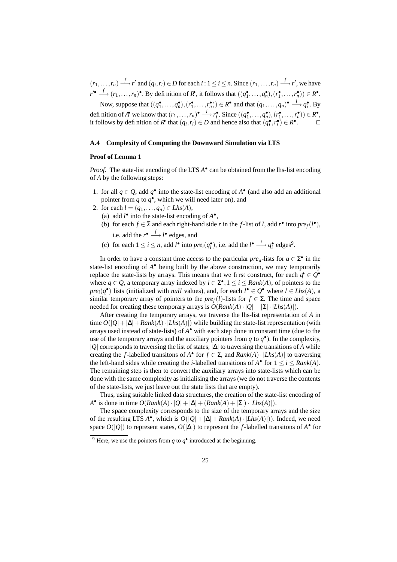$(r_1, \ldots, r_n) \stackrel{f}{\longrightarrow} r'$  and  $(q_i, r_i) \in D$  for each  $i: 1 \le i \le n$ . Since  $(r_1, \ldots, r_n) \stackrel{f}{\longrightarrow} r'$ , we have  $r' \longrightarrow (r_1, \ldots, r_n)$ <sup> $\bullet$ </sup>. By definition of *R*<sup>*n*</sup>, it follows that  $((q_1^{\bullet}, \ldots, q_n^{\bullet}), (r_1^{\bullet}, \ldots, r_n^{\bullet})) \in R^{\bullet}$ . Now, suppose that  $((q_1^{\bullet},...,q_n^{\bullet}),(r_1^{\bullet},...,r_n^{\bullet})) \in R^{\bullet}$  and that  $(q_1,...,q_n)^{\bullet} \longrightarrow q_i^{\bullet}$ . By

definition of *A*<sup>•</sup> we know that  $(r_1, \ldots, r_n)$ <sup>•</sup>  $\xrightarrow{i} r_i^*$ . Since  $((q_1^*,\ldots,q_n^*),(r_1^*,\ldots,r_n^*)\in R^*$ , it follows by definition of *R*<sup>*i*</sup> that  $(q_i, r_i) \in D$  and hence also that  $(q_i^{\bullet}, r_i^{\bullet}) \in R^{\bullet}$ .

# **A.4 Complexity of Computing the Downward Simulation via LTS**

# **Proof of Lemma 1**

*Proof.* The state-list encoding of the LTS *A* • can be obtained from the lhs-list encoding of *A* by the following steps:

- 1. for all  $q \in Q$ , add  $q^{\bullet}$  into the state-list encoding of  $A^{\bullet}$  (and also add an additional pointer from  $q$  to  $q^{\bullet}$ , which we will need later on), and
- 2. for each  $l = (q_1, ..., q_n) \in Lhs(A)$ ,
	- (a) add  $l^{\bullet}$  into the state-list encoding of  $A^{\bullet}$ ,
	- (b) for each  $f \in \Sigma$  and each right-hand side *r* in the *f*-list of *l*, add  $r^{\bullet}$  into  $pref(l^{\bullet})$ , i.e. add the  $r^{\bullet} \stackrel{f}{\longrightarrow} l^{\bullet}$  edges, and
	- (c) for each  $1 \le i \le n$ , add *l*<sup>•</sup> into  $pre_i(q_i^{\bullet})$ , i.e. add the  $l^{\bullet} \longrightarrow q_i^{\bullet}$  edges<sup>9</sup>.

In order to have a constant time access to the particular  $pre_a$ -lists for  $a \in \Sigma^{\bullet}$  in the state-list encoding of *A* • being built by the above construction, we may temporarily replace the state-lists by arrays. This means that we first construct, for each  $q \in Q^{\bullet}$ where  $q \in Q$ , a temporary array indexed by  $i \in \sum^{\bullet}, 1 \le i \le Rank(A)$ , of pointers to the *pre*<sub>*i*</sub>( $q$ <sup>•</sup>) lists (initialized with *null* values), and, for each *l*<sup>•</sup>  $\in Q$ <sup>•</sup> where *l*  $\in$  *Lhs*(*A*), a similar temporary array of pointers to the  $pre<sub>f</sub>(l)$ -lists for  $f \in \Sigma$ . The time and space needed for creating these temporary arrays is  $O(Rank(A) \cdot |Q| + |\Sigma| \cdot |Lhs(A)|)$ .

After creating the temporary arrays, we traverse the lhs-list representation of *A* in time  $O(|Q|+|\Delta|+Rank(A)\cdot|Lhs(A)|)$  while building the state-list representation (with arrays used instead of state-lists) of *A* • with each step done in constant time (due to the use of the temporary arrays and the auxiliary pointers from  $q$  to  $q^{\bullet}$ ). In the complexity, |*Q*| corresponds to traversing the list of states, |∆| to traversing the transitions of *A* while creating the *f*-labelled transitons of  $A^{\bullet}$  for  $f \in \Sigma$ , and  $Rank(A) \cdot |Lhs(A)|$  to traversing the left-hand sides while creating the *i*-labelled transitions of  $A^{\bullet}$  for  $1 \le i \le Rank(A)$ . The remaining step is then to convert the auxiliary arrays into state-lists which can be done with the same complexity as initialising the arrays (we do not traverse the contents of the state-lists, we just leave out the state lists that are empty).

Thus, using suitable linked data structures, the creation of the state-list encoding of *A* • is done in time *O*(*Rank*(*A*)· |*Q*|+|∆|+(*Rank*(*A*)+|Σ|)· |*Lhs*(*A*)|).

The space complexity corresponds to the size of the temporary arrays and the size of the resulting LTS  $A^{\bullet}$ , which is  $O(|Q| + |\Delta| + Rank(A) \cdot |Lhs(A)|)$ . Indeed, we need space  $O(|Q|)$  to represent states,  $O(|\Delta|)$  to represent the *f*-labelled transitons of  $A^{\bullet}$  for

<sup>&</sup>lt;sup>9</sup> Here, we use the pointers from  $q$  to  $q^{\bullet}$  introduced at the beginning.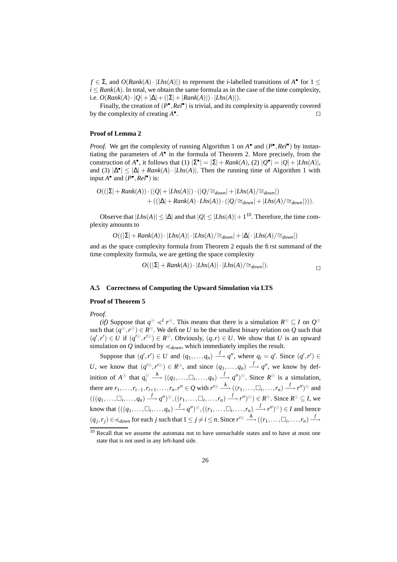$f \in \Sigma$ , and  $O(Rank(A) \cdot |Lhs(A)|)$  to represent the *i*-labelled transitions of  $A^{\bullet}$  for  $1 \leq$  $i \leq Rank(A)$ . In total, we obtain the same formula as in the case of the time complexity, i.e.  $O(Rank(A) \cdot |Q| + |\Delta| + (|\Sigma| + |Rank(A)|) \cdot |Lhs(A)|).$ 

Finally, the creation of  $(P^{\bullet}, Rel^{\bullet})$  is trivial, and its complexity is apparently covered by the complexity of creating *A* • . The contract of the contract of the contract of the contract of the contract of the contract of the contract of the contract of the contract of the contract of the contract of the contract of the contract of the contract

# **Proof of Lemma 2**

*Proof.* We get the complexity of running Algorithm 1 on  $A^{\bullet}$  and  $(P^{\bullet}, ReI^{\bullet})$  by instantiating the parameters of *A* • in the formula of Theorem 2. More precisely, from the construction of  $A^{\bullet}$ , it follows that (1)  $|\Sigma^{\bullet}| = |\Sigma| + Rank(A)$ , (2)  $|Q^{\bullet}| = |Q| + |Lbs(A)|$ , and (3)  $|\Delta^{\bullet}| \leq |\Delta| + Rank(A) \cdot |Lhs(A)|$ . Then the running time of Algorithm 1 with input  $A^{\bullet}$  and  $(P^{\bullet}, Rel^{\bullet})$  is:

$$
O((|\Sigma| + Rank(A)) \cdot (|Q| + |Lhs(A)|) \cdot (|Q/\cong_{down}| + |Lhs(A)/\cong_{down}|)
$$
  
+ ((|\Delta| + Rank(A) \cdot Lhs(A)) \cdot (|Q/\cong\_{down}| + |Lhs(A)/\cong\_{down}|))).

Observe that  $|Lhs(A)| \leq |\Delta|$  and that  $|Q| \leq |Lhs(A)| + 1^{10}$ . Therefore, the time complexity amounts to

$$
O((|\Sigma| + Rank(A)) \cdot |Lhs(A)| \cdot |Lhs(A)/\cong_{down}| + |\Delta| \cdot |Lhs(A)/\cong_{down}|)
$$

and as the space complexity formula from Theorem 2 equals the first summand of the time complexity formula, we are getting the space complexity

*O*(( $|\Sigma|$ +*Rank*(*A*)) ·  $|Lhs(A)| \cdot |Lhs(A)| \approx d_{own}|$ ).

#### **A.5 Correctness of Computing the Upward Simulation via LTS**

#### **Proof of Theorem 5**

*Proof.*

(*if*) Suppose that  $q^{\odot} \preccurlyeq^l r^{\odot}$ . This means that there is a simulation  $R^{\odot} \subseteq I$  on  $Q^{\odot}$ such that  $(q^{\odot}, r^{\odot}) \in R^{\odot}$ . We define *U* to be the smallest binary relation on *Q* such that  $(q', r') \in U$  if  $(q'^{\odot}, r'^{\odot}) \in R^{\odot}$ . Obviously,  $(q, r) \in U$ . We show that *U* is an upward simulation on *Q* induced by  $\preccurlyeq_{down}$ , which immediately implies the result.

Suppose that  $(q', r') \in U$  and  $(q_1, \ldots, q_n) \stackrel{f}{\longrightarrow} q''$ , where  $q_i = q'$ . Since  $(q', r') \in$ *U*, we know that  $(q^{\circledcirc}, r^{\circledcirc}) \in R^{\odot}$ , and since  $(q_1, \ldots, q_n) \stackrel{f}{\longrightarrow} q^n$ , we know by definition of  $A^{\odot}$  that  $q_i^{\odot} \stackrel{\lambda}{\longrightarrow} ((q_1, \ldots, \Box_i, \ldots, q_n) \stackrel{f}{\longrightarrow} q'')^{\odot}$ . Since  $R^{\odot}$  is a simulation, there are  $r_1, \ldots, r_{i-1}, r_{i+1}, \ldots, r_n, r'' \in Q$  with  $r' \circ \stackrel{\lambda}{\longrightarrow} ((r_1, \ldots, \Box_i, \ldots, r_n) \stackrel{f}{\longrightarrow} r'') \circ$  and  $(((q_1, \ldots, \Box_i, \ldots, q_n) \stackrel{f}{\longrightarrow} q'')^{\odot}, ((r_1, \ldots, \Box_i, \ldots, r_n) \stackrel{f}{\longrightarrow} r'')^{\odot}) \in R^{\odot}$ . Since  $R^{\odot} \subseteq I$ , we know that  $(((q_1, \ldots, \Box_i, \ldots, q_n) \stackrel{f}{\longrightarrow} q'')^{\odot}, ((r_1, \ldots, \Box_i, \ldots, r_n) \stackrel{f}{\longrightarrow} r'')^{\odot}) \in I$  and hence  $(q_j, r_j) \in \text{K}_{down}$  for each *j* such that  $1 \leq j \neq i \leq n$ . Since  $r'^{\odot} \stackrel{\lambda}{\longrightarrow} ((r_1, \ldots, \Box_i, \ldots, r_n) \stackrel{f}{\longrightarrow}$ 

<sup>&</sup>lt;sup>10</sup> Recall that we assume the automata not to have unreachable states and to have at most one state that is not used in any left-hand side.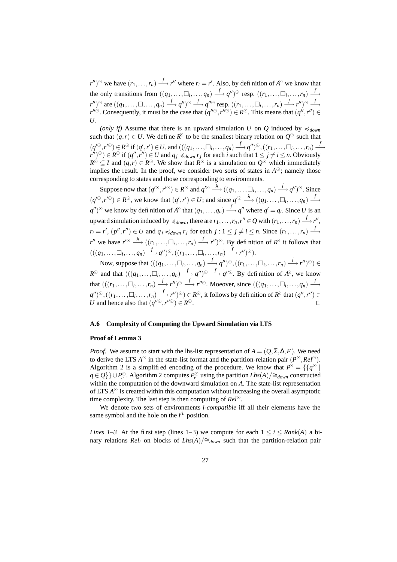$(r')^{\odot}$  we have  $(r_1, \ldots, r_n) \stackrel{f}{\longrightarrow} r''$  where  $r_i = r'$ . Also, by definition of  $A^{\odot}$  we know that the only transitions from  $((q_1, \ldots, \Box_i, \ldots, q_n) \stackrel{f}{\longrightarrow} q'')^{\odot}$  resp.  $((r_1, \ldots, \Box_i, \ldots, r_n) \stackrel{f}{\longrightarrow}$  $f'(r)$ <sup>⊙</sup> are  $((q_1, \ldots, \Box, \ldots, q_n) \stackrel{f}{\longrightarrow} q''$ <sup>o</sup>  $\stackrel{f}{\longrightarrow} q''$ <sup>o</sup> resp.  $((r_1, \ldots, \Box_i, \ldots, r_n) \stackrel{f}{\longrightarrow} r'')$ <sup>o</sup>  $\stackrel{f}{\longrightarrow}$  $r''$ . Consequently, it must be the case that  $(q''^{\odot}, r''^{\odot}) \in R^{\odot}$ . This means that  $(q'', r'') \in R$ *U*.

*(only if)* Assume that there is an upward simulation *U* on *Q* induced by  $\preccurlyeq_{down}$ such that  $(q, r) \in U$ . We define  $R^{\odot}$  to be the smallest binary relation on  $Q^{\odot}$  such that  $(q'^{\odot}, r'^{\odot}) \in R^{\odot}$  if  $(q', r') \in U$ , and  $(((q_1, \ldots, \Box_i, \ldots, q_n) \stackrel{f}{\longrightarrow} q'')^{\odot}, ((r_1, \ldots, \Box_i, \ldots, r_n) \stackrel{f}{\longrightarrow}$  $f(r'')^{\odot}$ )  $\in R^{\odot}$  if  $(q'', r'') \in U$  and  $q_j \preccurlyeq_{down} r_j$  for each *i* such that  $1 \leq j \neq i \leq n$ . Obviously  $R^{\odot} \subseteq I$  and  $(q, r) \in R^{\odot}$ . We show that  $R^{\odot}$  is a simulation on  $Q^{\odot}$  which immediately implies the result. In the proof, we consider two sorts of states in  $A^{\odot}$ ; namely those corresponding to states and those corresponding to environments.

Suppose now that  $(q'^{\odot}, r'^{\odot}) \in R^{\odot}$  and  $q'^{\odot} \stackrel{\lambda}{\longrightarrow} ((q_1, \ldots, \Box_i, \ldots, q_n) \stackrel{f}{\longrightarrow} q'')^{\odot}$ . Since  $(q'^{\odot}, r'^{\odot}) \in R^{\odot}$ , we know that  $(q', r') \in U$ ; and since  $q'^{\odot} \stackrel{\lambda}{\longrightarrow} ((q_1, \ldots, \Box_i, \ldots, q_n) \stackrel{f}{\longrightarrow}$  $(q'')^{\odot}$  we know by definition of  $A^{\odot}$  that  $(q_1, \ldots, q_n) \stackrel{f}{\longrightarrow} q''$  where  $q' = q_i$ . Since *U* is an upward simulation induced by  $\preccurlyeq_{down}$ , there are  $r_1, \ldots, r_n, r'' \in Q$  with  $(r_1, \ldots, r_n) \stackrel{f}{\longrightarrow} r'',$  $r_i = r'$ ,  $(p'', r'') \in U$  and  $q_j \preccurlyeq_{down} r_j$  for each  $j : 1 \le j \ne i \le n$ . Since  $(r_1, \ldots, r_n) \xrightarrow{f}$  $r''$  we have  $r'^{\odot} \stackrel{\lambda}{\longrightarrow} ((r_1, \ldots, \Box_i, \ldots, r_n) \stackrel{f}{\longrightarrow} r'')^{\odot}$ . By definition of  $R^{\odot}$  it follows that  $(((q_1, \ldots, \Box_i, \ldots, q_n) \stackrel{f}{\longrightarrow} q'')^{\odot}, ((r_1, \ldots, \Box_i, \ldots, r_n) \stackrel{f}{\longrightarrow} r'')^{\odot}).$ 

Now, suppose that  $(((q_1, \ldots, \Box_i, \ldots, q_n) \longrightarrow q^n)^\odot, ((r_1, \ldots, \Box_i, \ldots, r_n) \longrightarrow r^n)^\odot) \in$  $R^{\odot}$  and that  $(((q_1, \ldots, \Box_i, \ldots, q_n) \stackrel{f}{\longrightarrow} q'')^{\odot} \stackrel{f}{\longrightarrow} q''^{\odot}$ . By definition of  $A^{\odot}$ , we know that  $(((r_1, \ldots, \Box_i, \ldots, r_n) \stackrel{f}{\longrightarrow} r'')^{\odot} \stackrel{f}{\longrightarrow} r''^{\odot}$ . Moeover, since  $(((q_1, \ldots, \Box_i, \ldots, q_n) \stackrel{f}{\longrightarrow}$  $(q'')^{\odot}, ((r_1,\ldots,\Box_i,\ldots,r_n)\stackrel{f}{\longrightarrow}r'')^{\odot}) \in R^{\odot}$ , it follows by definition of  $R^{\odot}$  that  $(q'',r'') \in R$ *U* and hence also that  $(q''^{\odot}, r''^{\odot}) \in R$  $\circ$ .

# **A.6 Complexity of Computing the Upward Simulation via LTS**

# **Proof of Lemma 3**

*Proof.* We assume to start with the lhs-list representation of  $A = (Q, \Sigma, \Delta, F)$ . We need to derive the LTS  $A^{\odot}$  in the state-list format and the partition-relation pair  $(P^{\odot}, Rel^{\odot})$ . Algorithm 2 is a simplified encoding of the procedure. We know that  $P^{\circ} = \{ \{q^{\circ} | \}$ *q* ∈ *Q*}  $\}$  ∪ *P*<sup>*o*</sup>. Algorithm 2 computes *P*<sub>*e*</sub></sub><sup>*o*</sup> using the partition *Lhs*(*A*)/≅<sub>*down*</sub> constructed within the computation of the downward simulation on *A*. The state-list representation of LTS  $A^{\odot}$  is created within this computation without increasing the overall asymptotic time complexity. The last step is then computing of *Rel*.

We denote two sets of environments *i-compatible* iff all their elements have the same symbol and the hole on the *i th* position.

*Lines*  $1-3$  At the first step (lines  $1-3$ ) we compute for each  $1 \le i \le Rank(A)$  a binary relations  $Rel_i$  on blocks of  $Lhs(A)/\cong_{down}$  such that the partition-relation pair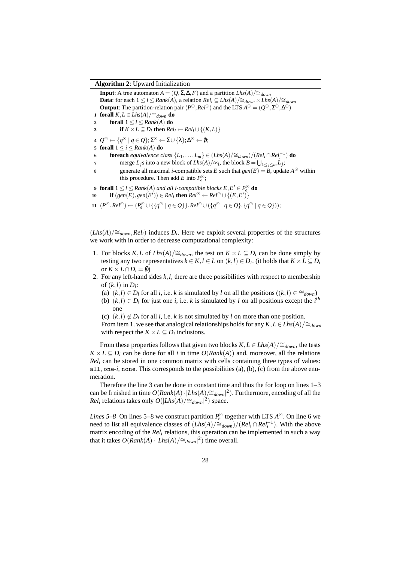#### **Algorithm 2**: Upward Initialization

**Input**: A tree automaton *A* =  $(Q, \Sigma, \Delta, F)$  and a partition *Lhs*(*A*)/≅<sub>*down*</sub> **Data**: for each  $1 \le i \le Rank(A)$ , a relation  $Rel_i ⊆ Lhs(A) / \cong_{down} × Lhs(A) / \cong_{down}$ **Output**: The partition-relation pair  $(P^{\odot}, Rel^{\odot})$  and the LTS  $A^{\odot} = (Q^{\odot}, \Sigma^{\odot}, \Delta^{\odot})$ **1 forall**  $K, L \in L$ *hs*(*A*)/≅<sub>*down*</sub> **do 2 forall**  $1 \leq i \leq Rank(A)$  **do if**  $K \times L \subseteq D_i$  **then**  $Rel_i \leftarrow Rel_i \cup \{(K, L)\}$  $\mathcal{A} \ \ Q^\odot \leftarrow \{ q^\odot \ | \ q \in \mathcal{Q} \} ; \Sigma^\odot \leftarrow \Sigma \cup \{ \lambda \} ; \Delta^\odot \leftarrow \emptyset;$ **5 forall**  $1 \leq i \leq Rank(A)$  **do foreach** *equivalence class*  $\{L_1, \ldots, L_m\} \in (L \cdot h s(A) / \cong_{down}) / (R e l_i \cap R e l_i^{-1})$  **do** merge  $L_j$ s into a new block of  $Lhs(A)/\approx_i$ , the block  $B = \bigcup_{1 \leq j \leq m} L_j$ ; 8 generate all maximal *i*-compatible sets *E* such that  $gen(E) = B$ , update  $A^{\odot}$  within this procedure. Then add  $E$  into  $P_e^{\odot}$ ; **9** forall  $1 \leq i \leq Rank(A)$  *and all i-compatible blocks*  $E, E' \in P_e^{\odot}$  do **if**  $(\text{gen}(E), \text{gen}(E')) \in \text{Rel}_i$  then  $\text{Rel}^{\odot} \leftarrow \text{Rel}^{\odot} \cup \{ (E, E') \}$  $(11 \ (P^{\odot}, Rel^{\odot}) \leftarrow (P_e^{\odot} \cup \{\{q^{\odot} \mid q \in Q\}\}, Rel^{\odot} \cup (\{q^{\odot} \mid q \in Q\}, \{q^{\odot} \mid q \in Q\})$ ;

 $(Lhs(A)/\cong_{down}, Rel<sub>i</sub>)$  induces  $D<sub>i</sub>$ . Here we exploit several properties of the structures we work with in order to decrease computational complexity:

- 1. For blocks *K*,*L* of *Lhs*(*A*)/≅<sub>*down*</sub>, the test on *K* × *L* ⊆ *D*<sub>*i*</sub> can be done simply by testing any two representatives  $k \in K, l \in L$  on  $(k, l) \in D_i.$  (it holds that  $K \times L \subseteq D_i$ or  $K \times L \cap D_i = \emptyset$ )
- 2. For any left-hand sides *k*,*l*, there are three possibilities with respect to membership of  $(k, l)$  in  $D_i$ :
	- (a)  $(k, l) \in D_i$  for all *i*, i.e. *k* is simulated by *l* on all the positions  $((k, l) \in \cong_{down})$
	- (b)  $(k, l) \in D_i$  for just one *i*, i.e. *k* is simulated by *l* on all positions except the *i*<sup>th</sup> one

(c)  $(k, l) \notin D_i$  for all *i*, i.e. *k* is not simulated by *l* on more than one position.

From item 1. we see that analogical relationships holds for any  $K, L \in L \in L \in (A)/\cong_{down}$ with respect the  $K \times L \subseteq D_i$  inclusions.

From these properties follows that given two blocks  $K, L \in L \in L \{A\} / \cong_{down}$ , the tests  $K \times L \subseteq D_i$  can be done for all *i* in time  $O(Rank(A))$  and, moreover, all the relations *Rel<sub>i</sub>* can be stored in one common matrix with cells containing three types of values: all, one-*i*, none. This corresponds to the possibilities (a), (b), (c) from the above enumeration.

Therefore the line 3 can be done in constant time and thus the for loop on lines 1–3 can be finished in time  $O(Rank(A) \cdot | Lhs(A)| \cong_{down}|^2)$ . Furthermore, encoding of all the *Rel<sub>i</sub>* relations takes only  $O(|Lhs(A)/ \cong_{down}|^2)$  space.

*Lines* 5–8 On lines 5–8 we construct partition  $P_e^{\odot}$  together with LTS  $A^{\odot}$ . On line 6 we need to list all equivalence classes of  $(Lhs(A)/\cong_{down})/(Rel_i \cap Rel_i^{-1})$ . With the above matrix encoding of the *Rel<sup>i</sup>* relations, this operation can be implemented in such a way that it takes  $O(Rank(A) \cdot |Lhs(A)/\cong_{down}|^2)$  time overall.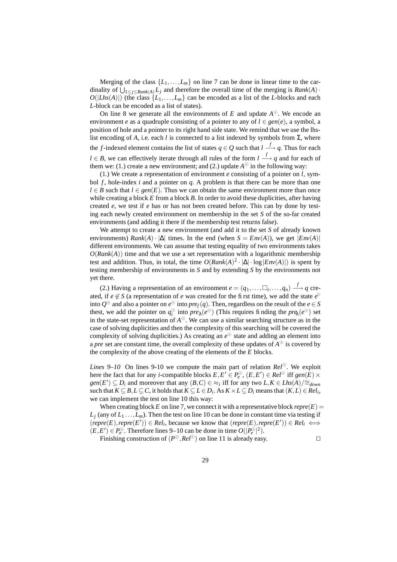Merging of the class  $\{L_1, \ldots, L_m\}$  on line 7 can be done in linear time to the cardinality of  $\bigcup_{1 \leq j \leq Rank(A)} L_j$  and therefore the overall time of the merging is  $Rank(A)$ .  $O(|Lhs(A)|)$  (the class  $\{L_1, \ldots, L_m\}$  can be encoded as a list of the *L*-blocks and each *L*-block can be encoded as a list of states).

On line 8 we generate all the environments of  $E$  and update  $A^{\odot}$ . We encode an environment *e* as a quadruple consisting of a pointer to any of  $l \in gen(e)$ , a symbol, a position of hole and a pointer to its right hand side state. We remind that we use the lhslist encoding of *A*, i.e. each *l* is connected to a list indexed by symbols from Σ, where the *f*-indexed element contains the list of states  $q \in Q$  such that  $l \stackrel{f}{\longrightarrow} q$ . Thus for each *l* ∈ *B*, we can effectively iterate through all rules of the form *l*  $\stackrel{f}{\longrightarrow} q$  and for each of them we: (1.) create a new environment; and (2.) update  $A^{\odot}$  in the following way:

(1.) We create a representation of environment *e* consisting of a pointer on *l*, symbol *f*, hole-index *i* and a pointer on *q*. A problem is that there can be more than one *l* ∈ *B* such that *l* ∈ *gen*(*E*). Thus we can obtain the same environment more than once while creating a block *E* from a block *B*. In order to avoid these duplicities, after having created *e*, we test if *e* has or has not been created before. This can by done by testing each newly created environment on membership in the set *S* of the so-far created environments (and adding it there if the membership test returns false).

We attempt to create a new environment (and add it to the set *S* of already known environments)  $Rank(A) \cdot |\Delta|$  times. In the end (when  $S = Env(A)$ ), we get  $|Env(A)|$ different environments. We can assume that testing equality of two environments takes  $O(Rank(A))$  time and that we use a set representation with a logarithmic membership test and addition. Thus, in total, the time  $O(Rank(A)^2 \cdot |\Delta| \cdot \log |Env(A)|)$  is spent by testing membership of environments in *S* and by extending *S* by the environments not yet there.

(2.) Having a representation of an environment  $e = (q_1, \ldots, \Box_i, \ldots, q_n) \stackrel{f}{\longrightarrow} q$  created, if  $e \notin S$  (a representation of *e* was created for the first time), we add the state  $e^{S}$ into  $Q^{\odot}$  and also a pointer on  $e^{\odot}$  into  $\mathit{pre}_f(q)$ . Then, regardless on the result of the  $e \in S$ thest, we add the pointer on  $q_i^{\odot}$  into  $pre_{\lambda}(e^{\odot})$  (This requires finding the  $pre_{\lambda}(e^{\odot})$  set in the state-set representation of  $A^{\odot}$ . We can use a similar searching structure as in the case of solving duplicities and then the complexity of this searching will be covered the complexity of solving duplicities.) As creating an  $e^{\odot}$  state and adding an element into a *pre* set are constant time, the overall complexity of these updates of  $A^{\odot}$  is covered by the complexity of the above creating of the elements of the *E* blocks.

*Lines* 9–10 On lines 9-10 we compute the main part of relation  $Rel^{\odot}$ . We exploit here the fact that for any *i*-compatible blocks  $E, E' \in P_e^{\odot}$ ,  $(E, E') \in Rel^{\odot}$  iff  $gen(E) \times$  $gen(E') \subseteq D_i$  and moreover that any  $(B, C) \in \approx_i$  iff for any two  $L, K \in Lhs(A)/\cong_{down}$ such that  $K \subseteq B, L \subseteq C$ , it holds that  $K \subseteq L \in D_i$ . As  $K \times L \subseteq D_i$  means that  $(K, L) \in Rel_i$ , we can implement the test on line 10 this way:

When creating block *E* on line 7, we connect it with a representative block  $repre(E)$  $L_i$  (any of  $L_1 \ldots, L_m$ ). Then the test on line 10 can be done in constant time via testing if  $(repre(E), repre(E')) \in Rel_i$ , because we know that  $(repre(E), repre(E')) \in Rel_i \iff$  $(E, E') \in P_e^{\odot}$ . Therefore lines 9–10 can be done in time  $O(|P_e^{\odot}|^2)$ .

Finishing construction of  $(P^{\odot}, Rel^{\odot})$  on line 11 is already easy.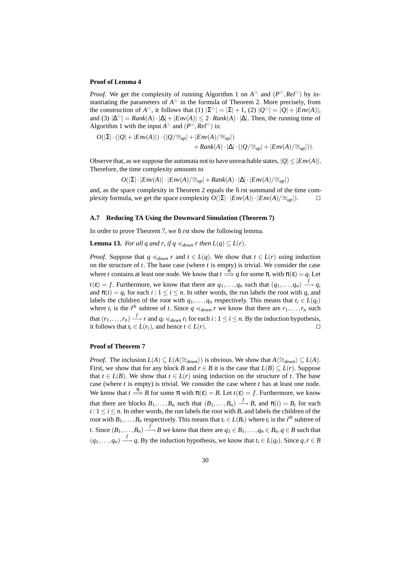#### **Proof of Lemma 4**

*Proof.* We get the complexity of running Algorithm 1 on  $A^{\odot}$  and  $(P^{\odot}, Rel^{\odot})$  by instantiating the parameters of  $A^{\odot}$  in the formula of Theorem 2. More precisely, from the construction of  $A^{\odot}$ , it follows that (1)  $|\Sigma^{\odot}| = |\Sigma| + 1$ , (2)  $|Q^{\odot}| = |Q| + |Env(A)|$ , and (3)  $|\Delta^{\odot}| = Rank(A) \cdot |\Delta| + |Env(A)| \leq 2 \cdot Rank(A) \cdot |\Delta|$ . Then, the running time of Algorithm 1 with the input  $A^{\odot}$  and  $(P^{\odot}, Rel^{\odot})$  is:

$$
O(|\Sigma| \cdot (|Q| + |Env(A)|) \cdot (|Q/\cong_{up}| + |Env(A)/\cong_{up}|)+ Rank(A) \cdot |\Delta| \cdot (|Q/\cong_{up}| + |Env(A)/\cong_{up}|)).
$$

Observe that, as we suppose the automata not to have unreachable states,  $|O| \le |Env(A)|$ . Therefore, the time complexity amounts to

*O*( $|\Sigma|$  ·  $|Env(A)|$  ·  $|Env(A)/\cong_{up}|$  +  $Rank(A)$  ·  $|\Delta|$  ·  $|Env(A)/\cong_{up}|$ )

and, as the space complexity in Theorem 2 equals the first summand of the time complexity formula, we get the space complexity  $O(|\Sigma| \cdot |Env(A)| \cdot |Env(A)/\cong_{un}|)$ .  $\Box$ 

#### **A.7 Reducing TA Using the Downward Simulation (Theorem 7)**

In order to prove Theorem 7, we first show the following lemma.

**Lemma 13.** *For all q and r, if*  $q \preccurlyeq_{down} r$  *then*  $L(q) \subseteq L(r)$ *.* 

*Proof.* Suppose that  $q \preccurlyeq_{down} r$  and  $t \in L(q)$ . We show that  $t \in L(r)$  using induction on the structure of *t*. The base case (where *t* is empty) is trivial. We consider the case where *t* contains at least one node. We know that  $t \stackrel{\pi}{\Longrightarrow} q$  for some  $\pi$ , with  $\pi(\epsilon) = q$ . Let

 $t(\varepsilon) = f$ . Furthermore, we know that there are  $q_1, \ldots, q_n$  such that  $(q_1, \ldots, q_n) \stackrel{f}{\longrightarrow} q$ , and  $\pi(i) = q_i$  for each  $i : 1 \le i \le n$ . In other words, the run labels the root with *q*, and labels the children of the root with  $q_1, \ldots, q_n$  respectively. This means that  $t_i \in L(q_i)$ where  $t_i$  is the  $i^{th}$  subtree of *t*. Since  $q \preccurlyeq_{down} r$  we know that there are  $r_1, \ldots, r_n$  such that  $(r_1,...,r_n) \stackrel{f}{\longrightarrow} r$  and  $q_i \preccurlyeq_{down} r_i$  for each  $i: 1 \le i \le n$ . By the induction hypothesis, it follows that *t*<sub>*i*</sub> ∈ *L*(*r*<sub>*i*</sub>), and hence *t* ∈ *L*(*r*).  $\Box$ 

#### **Proof of Theorem 7**

*Proof.* The inclusion  $L(A) \subseteq L(A \langle \cong_{down} \rangle)$  is obvious. We show that  $A \langle \cong_{down} \rangle \subseteq L(A)$ . First, we show that for any block *B* and  $r \in B$  it is the case that  $L(B) \subseteq L(r)$ . Suppose that  $t \in L(B)$ . We show that  $t \in L(r)$  using induction on the structure of *t*. The base case (where *t* is empty) is trivial. We consider the case where *t* has at least one node. We know that  $t \stackrel{\pi}{\Longrightarrow} B$  for some  $\pi$  with  $\pi(\varepsilon) = B$ . Let  $t(\varepsilon) = f$ . Furthermore, we know that there are blocks  $B_1, \ldots, B_n$  such that  $(B_1, \ldots, B_n) \stackrel{f}{\longrightarrow} B$ , and  $\pi(i) = B_i$  for each  $i: 1 \leq i \leq n$ . In other words, the run labels the root with *B*, and labels the children of the root with  $B_1, \ldots, B_n$  respectively. This means that  $t_i \in L(B_i)$  where  $t_i$  is the  $i^{th}$  subtree of *t*. Since  $(B_1, \ldots, B_n) \stackrel{f}{\longrightarrow} B$  we know that there are  $q_1 \in B_1, \ldots, q_n \in B_n, q \in B$  such that  $(q_1, \ldots, q_n)$  →  $q$ . By the induction hypothesis, we know that  $t_i \in L(q_i)$ . Since  $q, r \in B$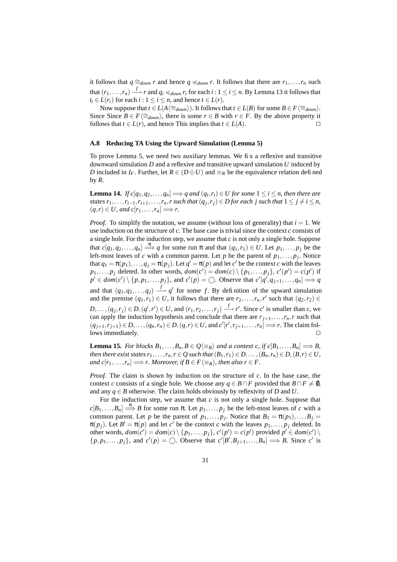it follows that  $q \cong_{down} r$  and hence  $q \preccurlyeq_{down} r$ . It follows that there are  $r_1, \ldots, r_n$  such that  $(r_1,\ldots,r_n)\stackrel{f}{\longrightarrow}r$  and  $q_i\preccurlyeq_{down} r_i$  for each  $i:1\leq i\leq n.$  By Lemma 13 it follows that  $t_i \in L(r_i)$  for each  $i : 1 \le i \le n$ , and hence  $t \in L(r)$ .

Now suppose that  $t \in L(A \langle \cong_{down} \rangle)$ . It follows that  $t \in L(B)$  for some  $B \in F \langle \cong_{down} \rangle$ . Since Since  $B \in F\langle \cong_{down} \rangle$ , there is some  $r \in B$  with  $r \in F$ . By the above property it follows that *t* ∈ *L*(*r*), and hence This implies that *t* ∈ *L*(*A*).  $\Box$ 

#### **A.8 Reducing TA Using the Upward Simulation (Lemma 5)**

To prove Lemma 5, we need two auxiliary lemmas. We fix a reflexive and transitive downward simulation *D* and a reflexive and transitive upward simulation *U* induced by *D* included in *I<sub>F</sub>*. Further, let  $R \in (D \oplus U)$  and  $\equiv_R$  be the equivalence relation defined by *R*.

**Lemma 14.** If  $c[q_1, q_2, \ldots, q_n] \Longrightarrow q$  and  $(q_i, r_i) \in U$  for some  $1 \leq i \leq n$ , then there are states  $r_1, \ldots, r_{i-1}, r_{i+1}, \ldots, r_n$ ,  $r$  such that  $(q_j, r_j) \in D$  for each  $j$  such that  $1 \leq j \neq i \leq n$ ,  $(q, r) \in U$ , and  $c[r_1, \ldots, r_n] \Longrightarrow r$ .

*Proof.* To simplify the notation, we assume (without loss of generality) that  $i = 1$ . We use induction on the structure of *c*. The base case is trivial since the context *c* consists of a single hole. For the induction step, we assume that *c* is not only a single hole. Suppose that  $c[q_1, q_2,..., q_n] \stackrel{\pi}{\Longrightarrow} q$  for some run  $\pi$  and that  $(q_1, r_1) \in U$ . Let  $p_1,..., p_j$  be the left-most leaves of *c* with a common parent. Let *p* be the parent of  $p_1, \ldots, p_j$ . Notice that  $q_1 = \pi(p_1), \ldots, q_j = \pi(p_j)$ . Let  $q' = \pi(p)$  and let *c*' be the context *c* with the leaves  $p_1, \ldots, p_j$  deleted. In other words,  $dom(c') = dom(c) \setminus \{p_1, \ldots, p_j\}$ ,  $c'(p') = c(p')$  if  $p' \in dom(c') \setminus \{p, p_1, \ldots, p_j\}$ , and  $c'(p) = \bigcirc$ . Observe that  $c'[q', q_{j+1}, \ldots, q_n] \Longrightarrow q$ and that  $(q_1, q_2,..., q_j) \stackrel{f}{\longrightarrow} q'$  for some *f*. By definition of the upward simulation and the premise  $(q_1, r_1) \in U$ , it follows that there are  $r_2, \ldots, r_n, r'$  such that  $(q_2, r_2) \in$  $D, \ldots, (q_j, r_j) \in D, (q', r') \in U$ , and  $(r_1, r_2, \ldots, r_j) \xrightarrow{f} r'$ . Since *c*' is smaller than *c*, we can apply the induction hypothesis and conclude that there are  $r_{j+1}, \ldots, r_n, r$  such that  $(q_{j+1},r_{j+1}) \in D, \ldots, (q_n,r_n) \in D, (q,r) \in U$ , and  $c'[r',r_{j+1},\ldots,r_n] \Longrightarrow r$ . The claim follows immediately.  $\Box$ 

**Lemma 15.** *For blocks*  $B_1, \ldots, B_n, B \in \mathbb{Q}\langle \equiv_R \rangle$  *and a context c, if*  $c[B_1, \ldots, B_n] \Longrightarrow B$ , then there exist states  $r_1, \ldots, r_n, r \in Q$  such that  $(B_1, r_1) \in D, \ldots, (B_n, r_n) \in D, (B, r) \in U$ , *and*  $c[r_1,...,r_n] \Longrightarrow r$ *. Moreover, if*  $B \in F \langle \equiv_R \rangle$ *, then also*  $r \in F$ *.* 

*Proof.* The claim is shown by induction on the structure of *c*. In the base case, the context *c* consists of a single hole. We choose any  $q \in B \cap F$  provided that  $B \cap F \neq \emptyset$ , and any  $q \in B$  otherwise. The claim holds obviously by reflexivity of *D* and *U*.

For the induction step, we assume that *c* is not only a single hole. Suppose that  $c[B_1,...,B_n] \stackrel{\pi}{\Longrightarrow} B$  for some run  $\pi$ . Let  $p_1,...,p_j$  be the left-most leaves of *c* with a common parent. Let *p* be the parent of  $p_1, \ldots, p_j$ . Notice that  $B_1 = \pi(p_1), \ldots, B_j =$  $\pi(p_j)$ . Let  $B' = \pi(p)$  and let *c*' be the context *c* with the leaves  $p_1, \ldots, p_j$  deleted. In other words,  $dom(c') = dom(c) \setminus \{p_1, \ldots, p_j\}$ ,  $c'(p') = c(p')$  provided  $p' \in dom(c') \setminus$  $\{p, p_1, \ldots, p_j\}$ , and  $c'(p) = \bigcirc$ . Observe that  $c'[B', B_{j+1}, \ldots, B_n] \Longrightarrow B$ . Since  $c'$  is